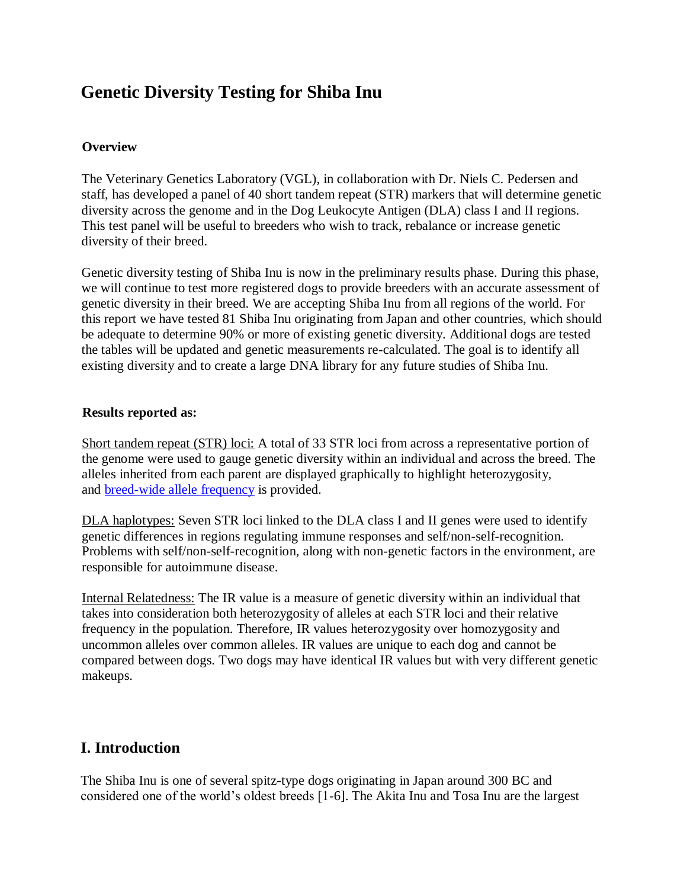# **Genetic Diversity Testing for Shiba Inu**

#### **Overview**

The Veterinary Genetics Laboratory (VGL), in collaboration with Dr. Niels C. Pedersen and staff, has developed a panel of 40 short tandem repeat (STR) markers that will determine genetic diversity across the genome and in the Dog Leukocyte Antigen (DLA) class I and II regions. This test panel will be useful to breeders who wish to track, rebalance or increase genetic diversity of their breed.

Genetic diversity testing of Shiba Inu is now in the preliminary results phase. During this phase, we will continue to test more registered dogs to provide breeders with an accurate assessment of genetic diversity in their breed. We are accepting Shiba Inu from all regions of the world. For this report we have tested 81 Shiba Inu originating from Japan and other countries, which should be adequate to determine 90% or more of existing genetic diversity. Additional dogs are tested the tables will be updated and genetic measurements re-calculated. The goal is to identify all existing diversity and to create a large DNA library for any future studies of Shiba Inu.

#### **[Results reported as:](https://www.vgl.ucdavis.edu/myvgl/dogsporder.html)**

Short tandem repeat (STR) loci: A total of 33 STR loci from across a representative portion of the genome were used to gauge genetic diversity within an individual and across the breed. The alleles inherited from each parent are displayed graphically to highlight heterozygosity, and breed-wide allele frequency is provided.

DLA haplotypes: Seven STR loci linked to the DLA class I and II genes were used to identify ge[netic differences in regions reg](https://www.vgl.ucdavis.edu/services/dog/GeneticDiversityInShibaInuSTRInfo.php)ulating immune responses and self/non-self-recognition. Problems with self/non-self-recognition, along with non-genetic factors in the environment, are responsible for autoimmune disease.

Internal Relatedness: The IR value is a measure of genetic diversity within an individual that takes into consideration both heterozygosity of alleles at each STR loci and their relative frequency in the population. Therefore, IR values heterozygosity over homozygosity and uncommon alleles over common alleles. IR values are unique to each dog and cannot be compared between dogs. Two dogs may have identical IR values but with very different genetic makeups.

# **I. Introduction**

The Shiba Inu is one of several spitz-type dogs originating in Japan around 300 BC and considered one of the world's oldest breeds [1-6]. The Akita Inu and Tosa Inu are the largest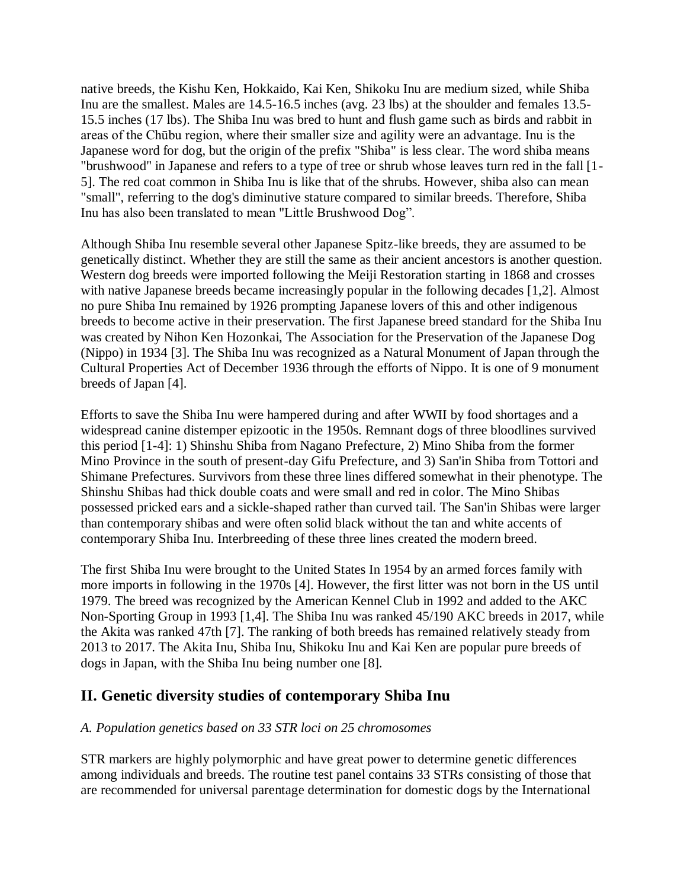native breeds, the Kishu Ken, Hokkaido, Kai Ken, Shikoku Inu are medium sized, while Shiba Inu are the smallest. Males are 14.5-16.5 inches (avg. 23 lbs) at the shoulder and females 13.5- 15.5 inches (17 lbs). The Shiba Inu was bred to hunt and flush game such as birds and rabbit in areas of the Chūbu region, where their smaller size and agility were an advantage. Inu is the Japanese word for dog, but the origin of the prefix "Shiba" is less clear. The word shiba means "brushwood" in Japanese and refers to a type of tree or shrub whose leaves turn red in the fall [1- 5]. The red coat common in Shiba Inu is like that of the shrubs. However, shiba also can mean "small", referring to the dog's diminutive stature compared to similar breeds. Therefore, Shiba Inu has also been translated to mean "Little Brushwood Dog".

Although Shiba Inu resemble several other Japanese Spitz-like breeds, they are assumed to be genetically distinct. Whether they are still the same as their ancient ancestors is another question. Western dog breeds were imported following the Meiji Restoration starting in 1868 and crosses with native Japanese breeds became increasingly popular in the following decades [1,2]. Almost no pure Shiba Inu remained by 1926 prompting Japanese lovers of this and other indigenous breeds to become active in their preservation. The first Japanese breed standard for the Shiba Inu was created by Nihon Ken Hozonkai, The Association for the Preservation of the Japanese Dog (Nippo) in 1934 [3]. The Shiba Inu was recognized as a Natural Monument of Japan through the Cultural Properties Act of December 1936 through the efforts of Nippo. It is one of 9 monument breeds of Japan [4].

Efforts to save the Shiba Inu were hampered during and after WWII by food shortages and a widespread canine distemper epizootic in the 1950s. Remnant dogs of three bloodlines survived this period [1-4]: 1) Shinshu Shiba from Nagano Prefecture, 2) Mino Shiba from the former Mino Province in the south of present-day Gifu Prefecture, and 3) San'in Shiba from Tottori and Shimane Prefectures. Survivors from these three lines differed somewhat in their phenotype. The Shinshu Shibas had thick double coats and were small and red in color. The Mino Shibas possessed pricked ears and a sickle-shaped rather than curved tail. The San'in Shibas were larger than contemporary shibas and were often solid black without the tan and white accents of contemporary Shiba Inu. Interbreeding of these three lines created the modern breed.

The first Shiba Inu were brought to the United States In 1954 by an armed forces family with more imports in following in the 1970s [4]. However, the first litter was not born in the US until 1979. The breed was recognized by the American Kennel Club in 1992 and added to the AKC Non-Sporting Group in 1993 [1,4]. The Shiba Inu was ranked 45/190 AKC breeds in 2017, while the Akita was ranked 47th [7]. The ranking of both breeds has remained relatively steady from 2013 to 2017. The Akita Inu, Shiba Inu, Shikoku Inu and Kai Ken are popular pure breeds of dogs in Japan, with the Shiba Inu being number one [8].

## **II. Genetic diversity studies of contemporary Shiba Inu**

#### *A. Population genetics based on 33 STR loci on 25 chromosomes*

STR markers are highly polymorphic and have great power to determine genetic differences among individuals and breeds. The routine test panel contains 33 STRs consisting of those that are recommended for universal parentage determination for domestic dogs by the International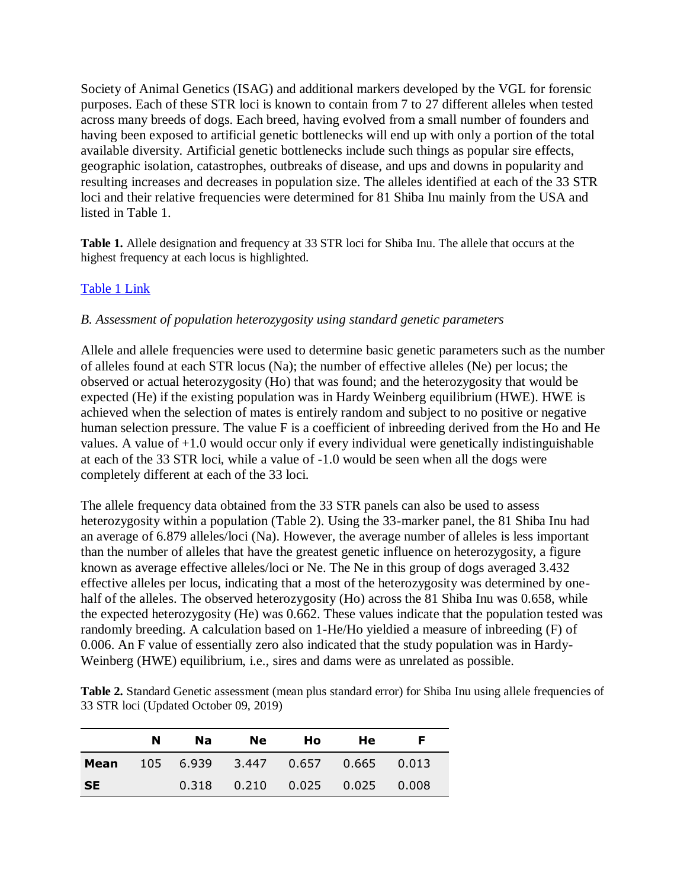Society of Animal Genetics (ISAG) and additional markers developed by the VGL for forensic purposes. Each of these STR loci is known to contain from 7 to 27 different alleles when tested across many breeds of dogs. Each breed, having evolved from a small number of founders and having been exposed to artificial genetic bottlenecks will end up with only a portion of the total available diversity. Artificial genetic bottlenecks include such things as popular sire effects, geographic isolation, catastrophes, outbreaks of disease, and ups and downs in popularity and resulting increases and decreases in population size. The alleles identified at each of the 33 STR loci and their relative frequencies were determined for 81 Shiba Inu mainly from the USA and listed in Table 1.

**Table 1.** Allele designation and frequency at 33 STR loci for Shiba Inu. The allele that occurs at the highest frequency at each locus is highlighted.

#### [Table 1 Link](https://www.vgl.ucdavis.edu/services/dog/GeneticDiversityInShibaInuSTRInfo.php)

#### *B. Assessment of population heterozygosity using standard genetic parameters*

Allele and allele frequencies were used to determine basic genetic parameters such as the number of alleles found at each STR locus (Na); the number of effective alleles (Ne) per locus; the observed or actual heterozygosity (Ho) that was found; and the heterozygosity that would be expected (He) if the existing population was in Hardy Weinberg equilibrium (HWE). HWE is achieved when the selection of mates is entirely random and subject to no positive or negative human selection pressure. The value F is a coefficient of inbreeding derived from the Ho and He values. A value of +1.0 would occur only if every individual were genetically indistinguishable at each of the 33 STR loci, while a value of -1.0 would be seen when all the dogs were completely different at each of the 33 loci.

The allele frequency data obtained from the 33 STR panels can also be used to assess heterozygosity within a population (Table 2). Using the 33-marker panel, the 81 Shiba Inu had an average of 6.879 alleles/loci (Na). However, the average number of alleles is less important than the number of alleles that have the greatest genetic influence on heterozygosity, a figure known as average effective alleles/loci or Ne. The Ne in this group of dogs averaged 3.432 effective alleles per locus, indicating that a most of the heterozygosity was determined by onehalf of the alleles. The observed heterozygosity (Ho) across the 81 Shiba Inu was 0.658, while the expected heterozygosity (He) was 0.662. These values indicate that the population tested was randomly breeding. A calculation based on 1-He/Ho yieldied a measure of inbreeding (F) of 0.006. An F value of essentially zero also indicated that the study population was in Hardy-Weinberg (HWE) equilibrium, i.e., sires and dams were as unrelated as possible.

**Table 2.** Standard Genetic assessment (mean plus standard error) for Shiba Inu using allele frequencies of 33 STR loci (Updated October 09, 2019)

|           | N | Na l | <b>Ne</b> | Ho l | <b>He</b>                               | E |
|-----------|---|------|-----------|------|-----------------------------------------|---|
| Mean      |   |      |           |      | 105 6.939 3.447 0.657 0.665 0.013       |   |
| <b>SE</b> |   |      |           |      | $0.318$ $0.210$ $0.025$ $0.025$ $0.008$ |   |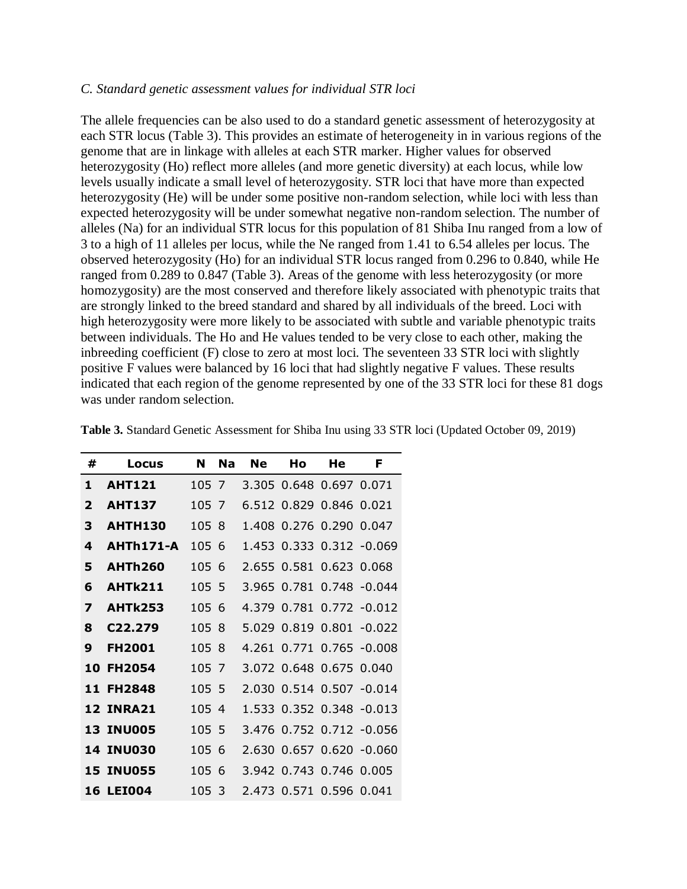#### *C. Standard genetic assessment values for individual STR loci*

The allele frequencies can be also used to do a standard genetic assessment of heterozygosity at each STR locus (Table 3). This provides an estimate of heterogeneity in in various regions of the genome that are in linkage with alleles at each STR marker. Higher values for observed heterozygosity (Ho) reflect more alleles (and more genetic diversity) at each locus, while low levels usually indicate a small level of heterozygosity. STR loci that have more than expected heterozygosity (He) will be under some positive non-random selection, while loci with less than expected heterozygosity will be under somewhat negative non-random selection. The number of alleles (Na) for an individual STR locus for this population of 81 Shiba Inu ranged from a low of 3 to a high of 11 alleles per locus, while the Ne ranged from 1.41 to 6.54 alleles per locus. The observed heterozygosity (Ho) for an individual STR locus ranged from 0.296 to 0.840, while He ranged from 0.289 to 0.847 (Table 3). Areas of the genome with less heterozygosity (or more homozygosity) are the most conserved and therefore likely associated with phenotypic traits that are strongly linked to the breed standard and shared by all individuals of the breed. Loci with high heterozygosity were more likely to be associated with subtle and variable phenotypic traits between individuals. The Ho and He values tended to be very close to each other, making the inbreeding coefficient (F) close to zero at most loci. The seventeen 33 STR loci with slightly positive F values were balanced by 16 loci that had slightly negative F values. These results indicated that each region of the genome represented by one of the 33 STR loci for these 81 dogs was under random selection.

| #                       | Locus            | N     | <b>Na</b> | <b>Ne</b> | Ho                      | He | F                           |
|-------------------------|------------------|-------|-----------|-----------|-------------------------|----|-----------------------------|
| 1                       | <b>AHT121</b>    | 105 7 |           |           | 3.305 0.648 0.697 0.071 |    |                             |
| $\overline{\mathbf{2}}$ | <b>AHT137</b>    | 105 7 |           |           | 6.512 0.829 0.846 0.021 |    |                             |
| 3                       | <b>AHTH130</b>   | 105 8 |           |           | 1.408 0.276 0.290 0.047 |    |                             |
| 4                       | AHTh171-A        | 105 6 |           |           |                         |    | 1.453 0.333 0.312 -0.069    |
| 5                       | <b>AHTh260</b>   | 105 6 |           |           | 2.655 0.581 0.623 0.068 |    |                             |
| 6                       | <b>AHTk211</b>   | 105 5 |           |           |                         |    | 3.965 0.781 0.748 -0.044    |
| 7                       | AHTk253          | 105 6 |           |           |                         |    | 4.379  0.781  0.772  -0.012 |
| 8                       | C22.279          | 105 8 |           |           |                         |    | 5.029 0.819 0.801 -0.022    |
| 9                       | <b>FH2001</b>    | 105 8 |           |           |                         |    | 4.261 0.771 0.765 -0.008    |
| 10                      | <b>FH2054</b>    | 105 7 |           |           | 3.072 0.648 0.675 0.040 |    |                             |
|                         | 11 FH2848        | 105 5 |           |           |                         |    | 2.030 0.514 0.507 -0.014    |
|                         | <b>12 INRA21</b> | 105 4 |           |           |                         |    | 1.533 0.352 0.348 -0.013    |
|                         | <b>13 INU005</b> | 105 5 |           |           |                         |    | 3.476 0.752 0.712 -0.056    |
|                         | <b>14 INU030</b> | 105 6 |           |           |                         |    | 2.630 0.657 0.620 -0.060    |
|                         | <b>15 INU055</b> | 105 6 |           |           | 3.942 0.743 0.746 0.005 |    |                             |
|                         | <b>16 LEI004</b> | 105 3 |           |           | 2.473 0.571 0.596 0.041 |    |                             |

**Table 3.** Standard Genetic Assessment for Shiba Inu using 33 STR loci (Updated October 09, 2019)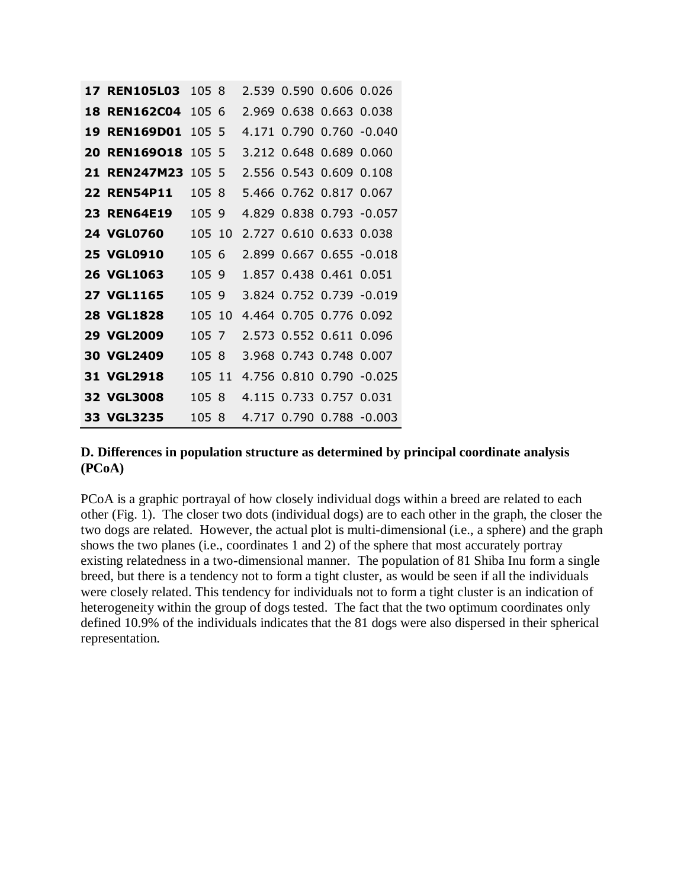| <b>17 REN105L03</b> | 105 8  |  | 2.539   0.590   0.606   0.026 |                                |
|---------------------|--------|--|-------------------------------|--------------------------------|
| <b>18 REN162C04</b> | 1056   |  | 2.969 0.638 0.663 0.038       |                                |
| <b>19 REN169D01</b> | 105 5  |  |                               | 4.171 0.790 0.760 -0.040       |
| 20 REN169018        | 105 5  |  | 3.212 0.648 0.689 0.060       |                                |
| 21 REN247M23        | 105, 5 |  | 2.556 0.543 0.609 0.108       |                                |
| <b>22 REN54P11</b>  | 105 8  |  | 5.466 0.762 0.817 0.067       |                                |
| <b>23 REN64E19</b>  | 1059   |  |                               | 4.829 0.838 0.793 -0.057       |
| <b>24 VGL0760</b>   | 105 10 |  | 2.727 0.610 0.633 0.038       |                                |
| <b>25 VGL0910</b>   | 105 6  |  |                               | 2.899   0.667   0.655   -0.018 |
| 26 VGL1063          | 105 9  |  | 1.857 0.438 0.461 0.051       |                                |
| <b>27 VGL1165</b>   | 105 9  |  |                               | 3.824 0.752 0.739 -0.019       |
| <b>28 VGL1828</b>   | 105 10 |  | 4.464 0.705 0.776 0.092       |                                |
| <b>29 VGL2009</b>   | 105 7  |  | 2.573 0.552 0.611 0.096       |                                |
| <b>30 VGL2409</b>   | 105 8  |  | 3.968 0.743 0.748 0.007       |                                |
| 31 VGL2918          | 105 11 |  |                               | 4.756 0.810 0.790 -0.025       |
| <b>32 VGL3008</b>   | 105 8  |  | 4.115 0.733 0.757 0.031       |                                |
| 33 VGL3235          | 105 8  |  |                               | 4.717 0.790 0.788 -0.003       |

#### **D. Differences in population structure as determined by principal coordinate analysis (PCoA)**

PCoA is a graphic portrayal of how closely individual dogs within a breed are related to each other (Fig. 1). The closer two dots (individual dogs) are to each other in the graph, the closer the two dogs are related. However, the actual plot is multi-dimensional (i.e., a sphere) and the graph shows the two planes (i.e., coordinates 1 and 2) of the sphere that most accurately portray existing relatedness in a two-dimensional manner. The population of 81 Shiba Inu form a single breed, but there is a tendency not to form a tight cluster, as would be seen if all the individuals were closely related. This tendency for individuals not to form a tight cluster is an indication of heterogeneity within the group of dogs tested. The fact that the two optimum coordinates only defined 10.9% of the individuals indicates that the 81 dogs were also dispersed in their spherical representation.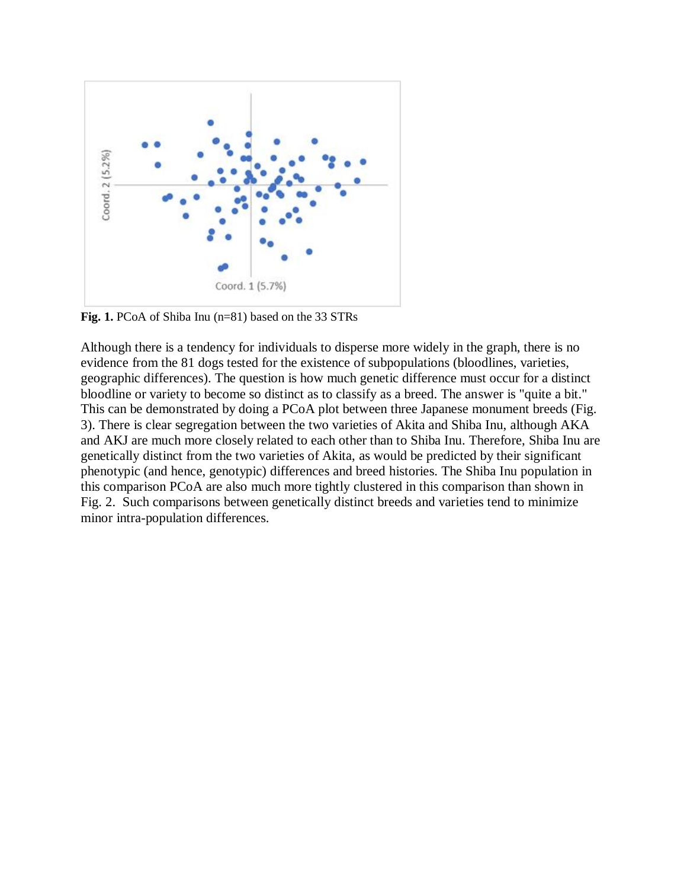

Fig. 1. PCoA of Shiba Inu (n=81) based on the 33 STRs

Although there is a tendency for individuals to disperse more widely in the graph, there is no evidence from the 81 dogs tested for the existence of subpopulations (bloodlines, varieties, geographic differences). The question is how much genetic difference must occur for a distinct bloodline or variety to become so distinct as to classify as a breed. The answer is "quite a bit." This can be demonstrated by doing a PCoA plot between three Japanese monument breeds (Fig. 3). There is clear segregation between the two varieties of Akita and Shiba Inu, although AKA and AKJ are much more closely related to each other than to Shiba Inu. Therefore, Shiba Inu are genetically distinct from the two varieties of Akita, as would be predicted by their significant phenotypic (and hence, genotypic) differences and breed histories. The Shiba Inu population in this comparison PCoA are also much more tightly clustered in this comparison than shown in Fig. 2. Such comparisons between genetically distinct breeds and varieties tend to minimize minor intra-population differences.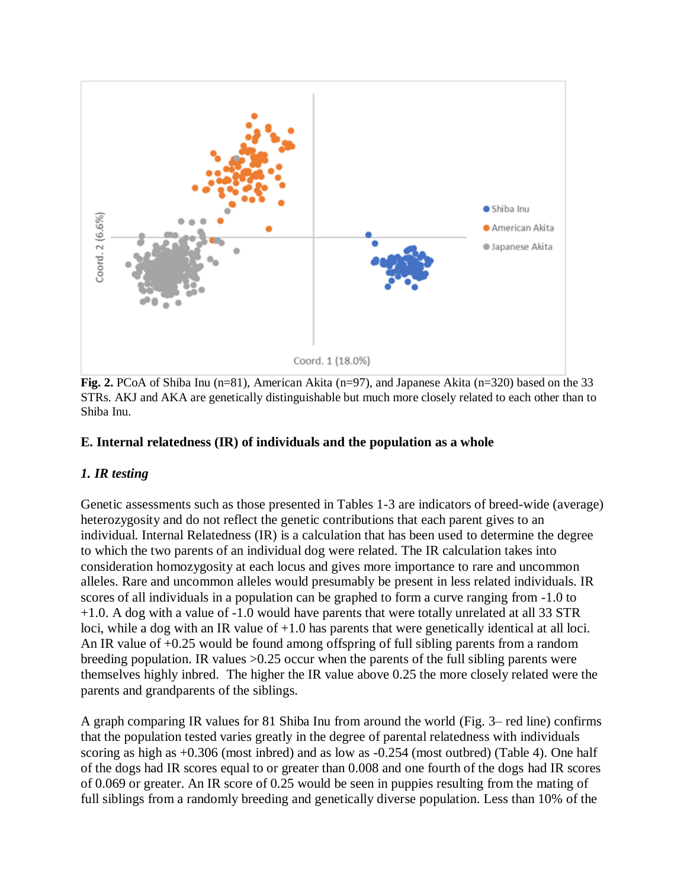

**Fig. 2.** PCoA of Shiba Inu (n=81), American Akita (n=97), and Japanese Akita (n=320) based on the 33 STRs. AKJ and AKA are genetically distinguishable but much more closely related to each other than to Shiba Inu.

#### **E. Internal relatedness (IR) of individuals and the population as a whole**

## *1. IR testing*

Genetic assessments such as those presented in Tables 1-3 are indicators of breed-wide (average) heterozygosity and do not reflect the genetic contributions that each parent gives to an individual. Internal Relatedness (IR) is a calculation that has been used to determine the degree to which the two parents of an individual dog were related. The IR calculation takes into consideration homozygosity at each locus and gives more importance to rare and uncommon alleles. Rare and uncommon alleles would presumably be present in less related individuals. IR scores of all individuals in a population can be graphed to form a curve ranging from -1.0 to +1.0. A dog with a value of -1.0 would have parents that were totally unrelated at all 33 STR loci, while a dog with an IR value of +1.0 has parents that were genetically identical at all loci. An IR value of +0.25 would be found among offspring of full sibling parents from a random breeding population. IR values >0.25 occur when the parents of the full sibling parents were themselves highly inbred. The higher the IR value above 0.25 the more closely related were the parents and grandparents of the siblings.

A graph comparing IR values for 81 Shiba Inu from around the world (Fig. 3– red line) confirms that the population tested varies greatly in the degree of parental relatedness with individuals scoring as high as +0.306 (most inbred) and as low as -0.254 (most outbred) (Table 4). One half of the dogs had IR scores equal to or greater than 0.008 and one fourth of the dogs had IR scores of 0.069 or greater. An IR score of 0.25 would be seen in puppies resulting from the mating of full siblings from a randomly breeding and genetically diverse population. Less than 10% of the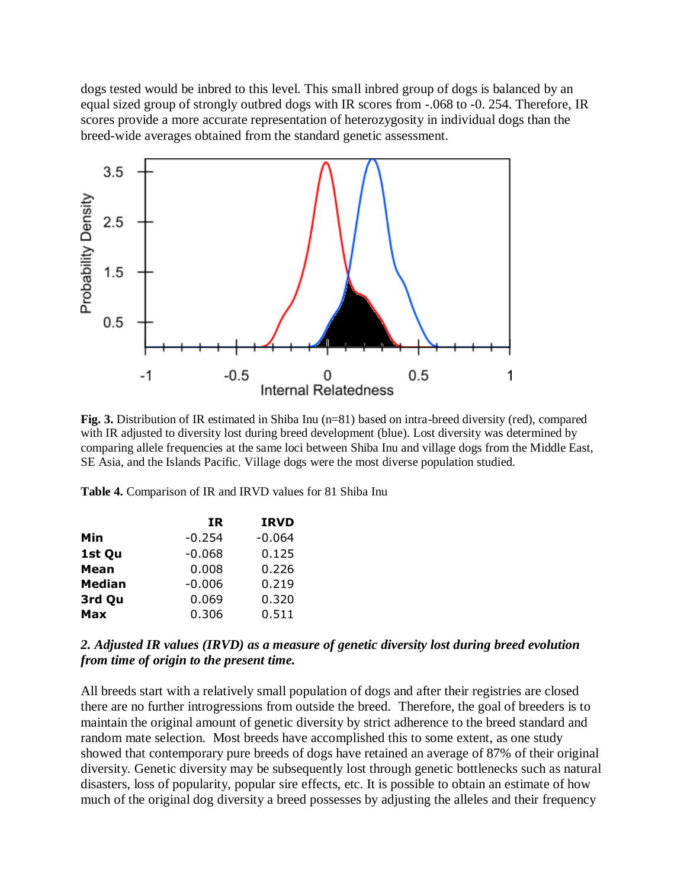dogs tested would be inbred to this level. This small inbred group of dogs is balanced by an equal sized group of strongly outbred dogs with IR scores from -.068 to -0. 254. Therefore, IR scores provide a more accurate representation of heterozygosity in individual dogs than the breed-wide averages obtained from the standard genetic assessment.



**Fig. 3.** Distribution of IR estimated in Shiba Inu (n=81) based on intra-breed diversity (red), compared with IR adjusted to diversity lost during breed development (blue). Lost diversity was determined by comparing allele frequencies at the same loci between Shiba Inu and village dogs from the Middle East, SE Asia, and the Islands Pacific. Village dogs were the most diverse population studied.

**Table 4.** Comparison of IR and IRVD values for 81 Shiba Inu

| ΙR       | <b>IRVD</b> |
|----------|-------------|
| $-0.254$ | $-0.064$    |
| $-0.068$ | 0.125       |
| 0.008    | 0.226       |
| $-0.006$ | 0.219       |
| 0.069    | 0.320       |
| 0.306    | 0.511       |
|          |             |

#### *2. Adjusted IR values (IRVD) as a measure of genetic diversity lost during breed evolution from time of origin to the present time.*

All breeds start with a relatively small population of dogs and after their registries are closed there are no further introgressions from outside the breed. Therefore, the goal of breeders is to maintain the original amount of genetic diversity by strict adherence to the breed standard and random mate selection. Most breeds have accomplished this to some extent, as one study showed that contemporary pure breeds of dogs have retained an average of 87% of their original diversity. Genetic diversity may be subsequently lost through genetic bottlenecks such as natural disasters, loss of popularity, popular sire effects, etc. It is possible to obtain an estimate of how much of the original dog diversity a breed possesses by adjusting the alleles and their frequency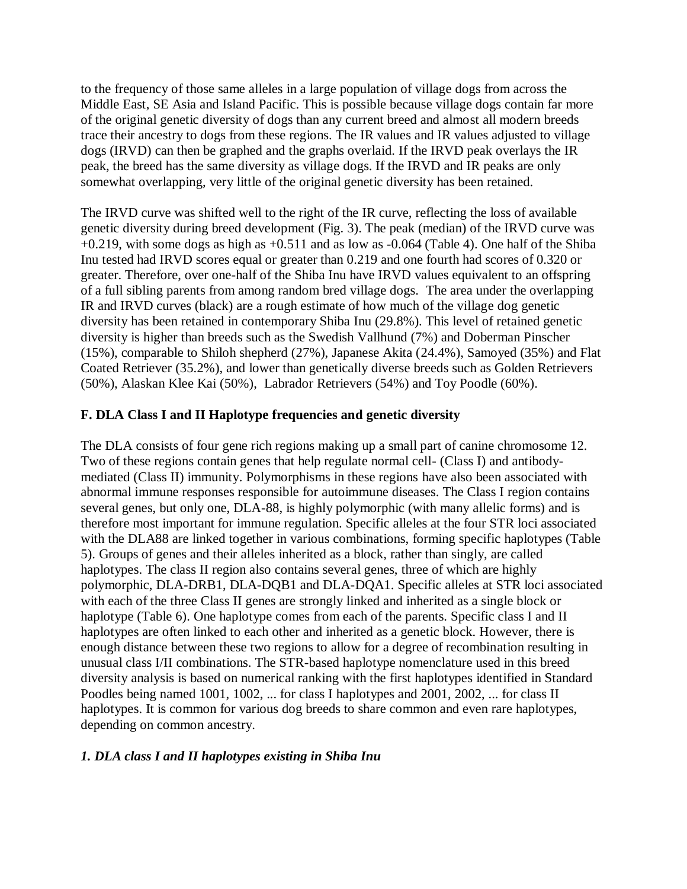to the frequency of those same alleles in a large population of village dogs from across the Middle East, SE Asia and Island Pacific. This is possible because village dogs contain far more of the original genetic diversity of dogs than any current breed and almost all modern breeds trace their ancestry to dogs from these regions. The IR values and IR values adjusted to village dogs (IRVD) can then be graphed and the graphs overlaid. If the IRVD peak overlays the IR peak, the breed has the same diversity as village dogs. If the IRVD and IR peaks are only somewhat overlapping, very little of the original genetic diversity has been retained.

The IRVD curve was shifted well to the right of the IR curve, reflecting the loss of available genetic diversity during breed development (Fig. 3). The peak (median) of the IRVD curve was  $+0.219$ , with some dogs as high as  $+0.511$  and as low as  $-0.064$  (Table 4). One half of the Shiba Inu tested had IRVD scores equal or greater than 0.219 and one fourth had scores of 0.320 or greater. Therefore, over one-half of the Shiba Inu have IRVD values equivalent to an offspring of a full sibling parents from among random bred village dogs. The area under the overlapping IR and IRVD curves (black) are a rough estimate of how much of the village dog genetic diversity has been retained in contemporary Shiba Inu (29.8%). This level of retained genetic diversity is higher than breeds such as the Swedish Vallhund (7%) and Doberman Pinscher (15%), comparable to Shiloh shepherd (27%), Japanese Akita (24.4%), Samoyed (35%) and Flat Coated Retriever (35.2%), and lower than genetically diverse breeds such as Golden Retrievers (50%), Alaskan Klee Kai (50%), Labrador Retrievers (54%) and Toy Poodle (60%).

## **F. DLA Class I and II Haplotype frequencies and genetic diversity**

The DLA consists of four gene rich regions making up a small part of canine chromosome 12. Two of these regions contain genes that help regulate normal cell- (Class I) and antibodymediated (Class II) immunity. Polymorphisms in these regions have also been associated with abnormal immune responses responsible for autoimmune diseases. The Class I region contains several genes, but only one, DLA-88, is highly polymorphic (with many allelic forms) and is therefore most important for immune regulation. Specific alleles at the four STR loci associated with the DLA88 are linked together in various combinations, forming specific haplotypes (Table 5). Groups of genes and their alleles inherited as a block, rather than singly, are called haplotypes. The class II region also contains several genes, three of which are highly polymorphic, DLA-DRB1, DLA-DQB1 and DLA-DQA1. Specific alleles at STR loci associated with each of the three Class II genes are strongly linked and inherited as a single block or haplotype (Table 6). One haplotype comes from each of the parents. Specific class I and II haplotypes are often linked to each other and inherited as a genetic block. However, there is enough distance between these two regions to allow for a degree of recombination resulting in unusual class I/II combinations. The STR-based haplotype nomenclature used in this breed diversity analysis is based on numerical ranking with the first haplotypes identified in Standard Poodles being named 1001, 1002, ... for class I haplotypes and 2001, 2002, ... for class II haplotypes. It is common for various dog breeds to share common and even rare haplotypes, depending on common ancestry.

## *1. DLA class I and II haplotypes existing in Shiba Inu*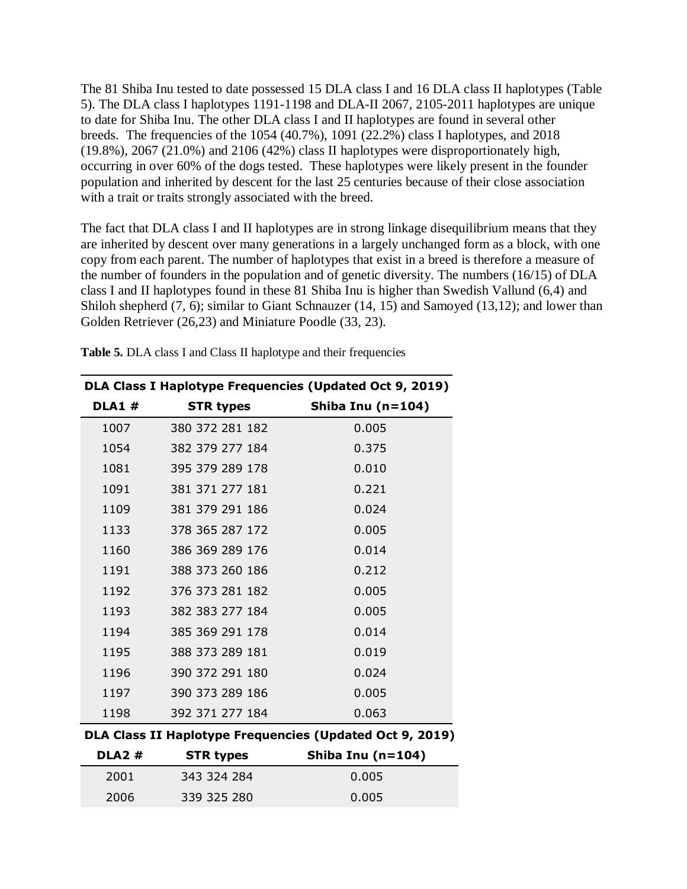The 81 Shiba Inu tested to date possessed 15 DLA class I and 16 DLA class II haplotypes (Table 5). The DLA class I haplotypes 1191-1198 and DLA-II 2067, 2105-2011 haplotypes are unique to date for Shiba Inu. The other DLA class I and II haplotypes are found in several other breeds. The frequencies of the 1054 (40.7%), 1091 (22.2%) class I haplotypes, and 2018 (19.8%), 2067 (21.0%) and 2106 (42%) class II haplotypes were disproportionately high, occurring in over 60% of the dogs tested. These haplotypes were likely present in the founder population and inherited by descent for the last 25 centuries because of their close association with a trait or traits strongly associated with the breed.

The fact that DLA class I and II haplotypes are in strong linkage disequilibrium means that they are inherited by descent over many generations in a largely unchanged form as a block, with one copy from each parent. The number of haplotypes that exist in a breed is therefore a measure of the number of founders in the population and of genetic diversity. The numbers (16/15) of DLA class I and II haplotypes found in these 81 Shiba Inu is higher than Swedish Vallund (6,4) and Shiloh shepherd (7, 6); similar to Giant Schnauzer (14, 15) and Samoyed (13,12); and lower than Golden Retriever (26,23) and Miniature Poodle (33, 23).

|              |                  | DLA Class I Haplotype Frequencies (Updated Oct 9, 2019)  |
|--------------|------------------|----------------------------------------------------------|
| <b>DLA1#</b> | <b>STR types</b> | Shiba Inu (n=104)                                        |
| 1007         | 380 372 281 182  | 0.005                                                    |
| 1054         | 382 379 277 184  | 0.375                                                    |
| 1081         | 395 379 289 178  | 0.010                                                    |
| 1091         | 381 371 277 181  | 0.221                                                    |
| 1109         | 381 379 291 186  | 0.024                                                    |
| 1133         | 378 365 287 172  | 0.005                                                    |
| 1160         | 386 369 289 176  | 0.014                                                    |
| 1191         | 388 373 260 186  | 0.212                                                    |
| 1192         | 376 373 281 182  | 0.005                                                    |
| 1193         | 382 383 277 184  | 0.005                                                    |
| 1194         | 385 369 291 178  | 0.014                                                    |
| 1195         | 388 373 289 181  | 0.019                                                    |
| 1196         | 390 372 291 180  | 0.024                                                    |
| 1197         | 390 373 289 186  | 0.005                                                    |
| 1198         | 392 371 277 184  | 0.063                                                    |
|              |                  | DLA Class II Haplotype Frequencies (Updated Oct 9, 2019) |
| <b>DLA2#</b> | <b>STR types</b> | Shiba Inu (n=104)                                        |
| 2001         | 343 324 284      | 0.005                                                    |

2006 339 325 280 0.005

**Table 5.** DLA class I and Class II haplotype and their frequencies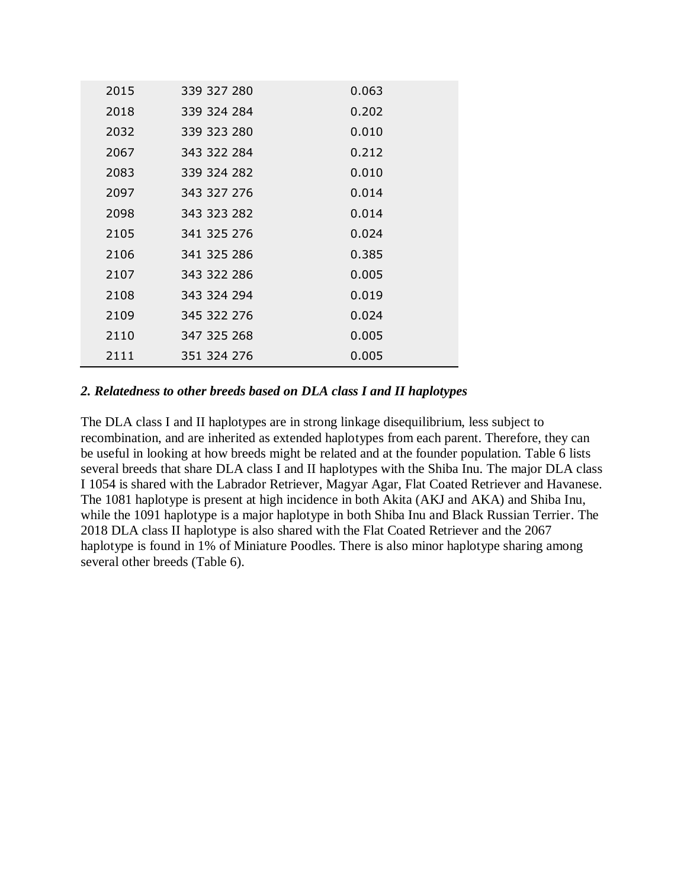| 2015 | 339 327 280 | 0.063 |
|------|-------------|-------|
| 2018 | 339 324 284 | 0.202 |
| 2032 | 339 323 280 | 0.010 |
| 2067 | 343 322 284 | 0.212 |
| 2083 | 339 324 282 | 0.010 |
| 2097 | 343 327 276 | 0.014 |
| 2098 | 343 323 282 | 0.014 |
| 2105 | 341 325 276 | 0.024 |
| 2106 | 341 325 286 | 0.385 |
| 2107 | 343 322 286 | 0.005 |
| 2108 | 343 324 294 | 0.019 |
| 2109 | 345 322 276 | 0.024 |
| 2110 | 347 325 268 | 0.005 |
| 2111 | 351 324 276 | 0.005 |

#### *2. Relatedness to other breeds based on DLA class I and II haplotypes*

The DLA class I and II haplotypes are in strong linkage disequilibrium, less subject to recombination, and are inherited as extended haplotypes from each parent. Therefore, they can be useful in looking at how breeds might be related and at the founder population. Table 6 lists several breeds that share DLA class I and II haplotypes with the Shiba Inu. The major DLA class I 1054 is shared with the Labrador Retriever, Magyar Agar, Flat Coated Retriever and Havanese. The 1081 haplotype is present at high incidence in both Akita (AKJ and AKA) and Shiba Inu, while the 1091 haplotype is a major haplotype in both Shiba Inu and Black Russian Terrier. The 2018 DLA class II haplotype is also shared with the Flat Coated Retriever and the 2067 haplotype is found in 1% of Miniature Poodles. There is also minor haplotype sharing among several other breeds (Table 6).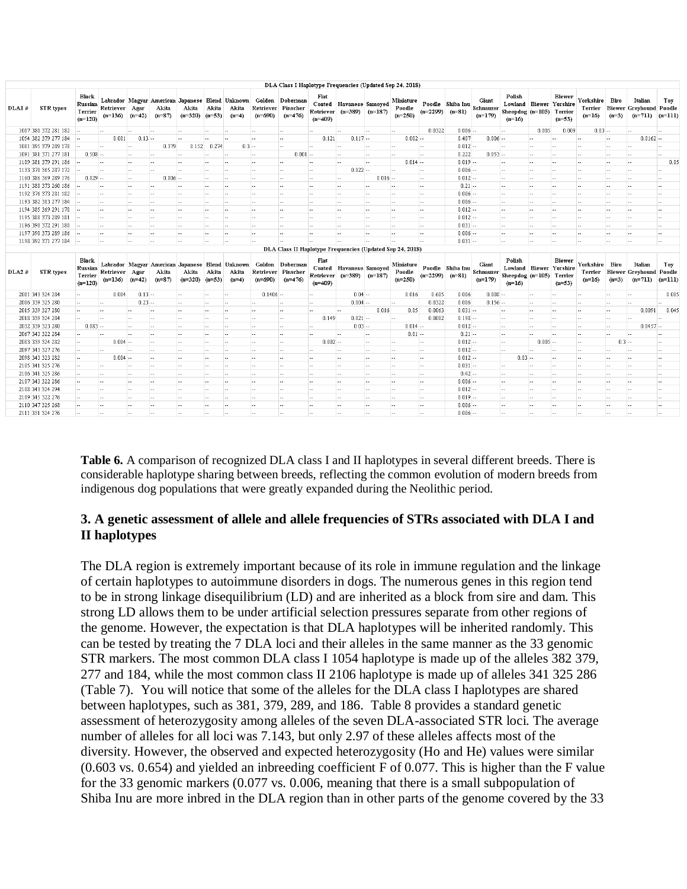| Polish<br>Black<br>Flat<br>Biewer<br>Labrador Magyar American Japanese Blend Unknown Golden Doberman<br>Yorkshire Biro<br>Giant<br>Italian<br>Toy<br>Miniature<br>Lowland Biewer Yorshire<br>Russian<br>Poodle Shiba Inu<br>Coated Havanese Samoyed<br>STR types<br>Retriever Agar<br>Akita<br>Akita<br>Retriever Pinscher<br><b>Biewer Greyhound Poodle</b><br>DLA1#<br>Akita<br>Akita<br>Poodle<br>Schnauzer<br>Terrier<br>Terrier<br>Retriever (n=389) (n=187)<br>$(n=2299)$<br>Sheepdog (n=105) Terrier<br>$(n=81)$<br>$(n=87)$<br>$(n=690)$<br>$(n=476)$<br>$(n=250)$<br>$(n=711)$ $(n=111)$<br>$(n=136)$ $(n=42)$<br>$(n=320)$ $(n=53)$<br>$(n=179)$<br>$(n=3)$<br>$(n=4)$<br>$(n=16)$<br>$(n=120)$<br>$(n=409)$<br>$(n=53)$<br>$(n=16)$<br>1007 380 372 281 182<br>0.0322<br>$0.006 -$<br>0.009<br>0.005<br>$0.03 -$<br>lee.<br>44<br><b>1.4</b><br>$\ddotsc$<br>ъ.<br>$\overline{\phantom{a}}$<br>ъ.<br>$\overline{\phantom{a}}$<br>$\overline{\phantom{a}}$<br>lee.<br>ъ.<br>۰.<br>lus.<br>la s<br>$\sim$<br>۰.<br>0.081<br>$0.13 -$<br>1054 382 379 277 184<br>$0.117 -$<br>$0.002 -$<br>0.407<br>$0.006 -$<br>$0.0162 -$<br>0.121<br>н.<br>$\sim$<br>ы.<br>- 1<br>Ъ.<br>$\ddotsc$<br>$\sim$<br>×.<br>ь.<br>la s<br>1081 395 379 289 178<br>0.379<br>0.152<br>0.274<br>$0.012 -$<br>$0.3 -$<br>44<br>$-$<br>$\sim$<br>$\sim$<br>in a<br><b>Sec.</b><br>$\sim$<br>la a<br>$\sim$ $\sim$<br>la a<br>$\sim$<br>ь.<br>$\sim$<br>$\sim$<br><b>Section</b><br>- -<br>0.222<br>1091 381 371 277 181<br>$0.508 -$<br>$0.001 -$<br>$0.053 -$<br>las.<br>i.<br><b>Section</b><br>la a<br><b>Let</b><br>in a<br>ω.<br>۰.<br>المحا<br>u.<br>line.<br>ш.<br>ш.<br>$\sim$<br>ш.<br>$-$<br>$0.014 -$<br>0.01<br>1109 381 379 291 186<br>$0.019 -$<br>ьe.<br>ьe.<br>lee.<br><b>140</b><br>le est<br>$\overline{\phantom{a}}$<br>$\sim$<br>٠.<br>le est<br>line.<br>--<br><b></b><br>ь.<br>ш.<br>$\ddotsc$<br>$\overline{\phantom{a}}$<br>$-$<br>$-$<br>1133 378 365 287 172<br>$0.022 -$<br>$0.006 -$<br>ш.<br>$\sim$<br>in a<br>$\sim$<br>in a f<br>in a<br>$\sim$<br>m.<br>14<br>la s<br>le est.<br><b>1999</b><br>line in<br>н.<br>l sa<br>$\sim$<br>$\sim$ $-$<br>$\sim$<br>н.<br>$0.006 -$<br>1160 386 369 289 176<br>$0.029 -$<br>$0.016 -$<br>$0.012 -$<br>$\ddotsc$<br><b>Section</b><br>٠.<br>la a<br>$\sim$<br>$\sim$<br>$\sim$<br>$\sim$ $\sim$<br>$-$<br>$\sim$ $\sim$<br>$\ddotsc$<br>$\sim$<br>$\sim$<br>٠.<br>$\sim$ $\sim$<br>1191 388 373 260 186<br>$0.21 -$<br>la su<br>las.<br>المحا<br><b>144</b><br>las.<br>۰.<br>المحا<br>ш.<br><b>144</b><br>las.<br>las.<br>$\sim$<br>ш.<br>la a<br>in an<br>- 14<br>$\sim$<br>المحا<br>$\sim$<br>$\sim$<br>ш.<br>$0.006 -$<br>1192 376 373 281 182 -<br>les.<br>$\sim$<br>$-$<br>$-$<br>$\sim$ $\sim$<br>$\overline{\phantom{a}}$<br>limit is<br>$-$<br>н.<br>$-$<br>in an<br>$\sim$ $-$<br>$-$<br>le est<br>$-$<br>--<br>$-1$<br>$-1$<br>$\sim$ $\sim$<br>н.<br>1193 382 383 277 184<br>$0.006 -$<br>$-$<br>$\sim$<br><b>Section</b><br>in a<br>$\sim$<br>la su<br><b>Section</b><br><b>Section</b><br>$\sim$<br>la al<br>m.<br><b>Section</b><br><b>A</b><br>in an<br>$\sim$ $-$<br><b>Section</b><br>$\sim$<br>$\sim$ $-$<br>$\sim$<br>$\sim$<br>н.<br>1194 385 369 291 178<br>$0.012 -$<br>$\sim$<br>$\sim$<br>$\sim$<br>$\overline{a}$<br>$-$<br>$\overline{\phantom{a}}$<br>$\sim$ $\sim$<br>٠.<br>$-$<br>$\sim$ $\sim$<br>$\sim$<br>$\sim$ $\sim$<br>$\sim$<br>$\sim$<br>$\sim$ $\sim$<br>$\sim$ $\sim$<br>$\ddotsc$<br>$\sim$ $\sim$<br>$-$<br>$\sim$<br>$\sim$ $\sim$<br>1195 388 373 289 181<br>$0.012 -$<br>$-$<br><b>Lesson</b><br>las.<br>las.<br>$\sim$<br>المحا<br>ш.<br>lus.<br><b>144</b><br>lus.<br>$\overline{\phantom{a}}$<br>ш.<br>$\sim$<br>$\sim$<br>$\sim$<br>المحا<br><b>Ford</b><br>$\ddotsc$<br>$\sim$<br>$\sim$<br>ш.<br>1196 390 372 291 180 -<br>$0.031 -$<br>line i<br>la su<br>in an<br>٠.<br>line i<br>--<br>$\sim$<br>hн.<br><br>les.<br>н.<br>le en<br>$\sim$<br>$\sim$<br>l e e<br>la s<br>$-1$<br>le en<br>$\ddotsc$<br>la a<br>$0.006 -$<br>1197 390 373 289 186<br>$\sim$<br>$\sim$<br>$\sim$<br>in a<br>$\sim$<br>$\sim$<br>$\sim$<br>$\sim$<br>line.<br>$\ddotsc$<br>m.<br>$\sim$<br><b>Sec.</b><br>$\sim$<br>in a<br>$\sim$<br>$\sim$<br>m.<br>$\ddotsc$<br>m.<br>in a<br>$0.031 -$<br>1198 392 371 277 184<br>$\sim$<br>$\sim$<br>$\sim$<br>$\sim$ $\sim$<br>a.<br>la a<br>$\sim$<br>$\ddotsc$<br>H.<br>$\sim$<br>$\ddotsc$<br>$\ddotsc$<br>$\overline{\phantom{a}}$<br>$\overline{a}$<br><b>144</b><br>$\sim$<br>$\sim$ $\sim$<br>-<br>$\sim$<br>$\sim$<br>$\sim$ $\sim$<br>DLA Class II Haplotype Frequencies (Updated Sep 24, 2018)<br>Polish<br>Flat<br><b>Biewer</b><br>Black<br>Labrador Magyar American Japanese Blend Unknown<br>Italian<br>Toy<br>Golden Doberman<br>Giant<br>Yorkshire Biro<br>Miniature<br>Lowland Biewer Yorshire<br>Russian<br>Coated Havanese Samoyed<br>Poodle Shiba Inu<br><b>STR</b> types<br>Retriever Pinscher<br><b>Biewer Greyhound Poodle</b><br>DLA2#<br>Retriever Agar<br>Akita<br>Akita<br>Akita<br>Akita<br>Poodle<br>Schnauzer<br>Terrier<br>Terrier<br>$(n=389)$ $(n=187)$<br>Retriever<br>$(n=2299)$<br>$(n=81)$<br>Sheepdog (n=105) Terrier<br>$(n=136)$ $(n=42)$<br>$(n=87)$<br>$(n=320)$ $(n=53)$<br>$(n=690)$<br>$(n=250)$<br>$(n=711)$ $(n=111)$<br>$(n=4)$<br>$(n=476)$<br>$(n=179)$<br>$(n=3)$<br>$(n=16)$<br>$(n=120)$<br>$(n=409)$<br>$(n=16)$<br>$(n=53)$<br>2001 343 324 284<br>0.004<br>$0.13 -$<br>$0.1406 -$<br>$0.04 -$<br>0.016<br>0.605<br>0.006<br>$0.008 -$<br>0.002<br>ш.<br>$\sim$<br>$\sim$<br><b></b><br>-<br>in a<br>н.<br>m.<br>m.<br>$\sim$<br>$0.004 -$<br>0.0322<br>$0.156 -$<br>2006 339 325 280<br>$0.23 -$<br>0.006<br>$\sim$<br>$\overline{\phantom{a}}$<br>$\sim$<br>$\sim$ $\sim$<br>$\sim$<br>$\overline{\phantom{a}}$<br>la a<br>$\sim$<br>$\sim$<br>$\sim$<br>in a<br>$\sim$<br>$\scriptstyle\cdots$<br>$\sim$<br>$\sim$ $\sim$<br>0.04<br>2015 339 327 280<br>0.016<br>0.05<br>0.0063<br>$0.031 -$<br>0.0091<br><b>144</b><br>les i<br>ш.<br><b>Let</b><br>المحا<br>la a<br>$\sim$<br><b>144</b><br>$\sim$<br><b>144</b><br>$\sim$ $\sim$<br>lee.<br>ш.<br>$\ddotsc$<br>$\sim$<br>ш.<br>$0.021 -$<br>2018 339 324 284<br>0.149<br>0.0002<br>$0.198 -$<br>les.<br>lee.<br>lee.<br>۰.<br>le est<br><br>--<br>ш.<br>$\overline{\phantom{a}}$<br>les.<br>lee.<br>--<br>lee.<br>н.<br>lee.<br><br>н.<br>$0.014 -$<br>2032 339 323 280<br>$0.083 -$<br>$0.03 -$<br>$0.012 -$<br>$0.0457 -$<br>44<br>$\ldots$<br>la su<br>$\sim$<br>in a<br>in a<br>×.<br><br>in a<br><b>1999</b><br><b>Inches</b><br><b>Section</b><br>$\sim$ $-$<br>$0.01 -$<br>2067 343 322 284<br>$0.21 -$<br>$\sim$<br>$\overline{\phantom{a}}$<br>$\sim$<br>$\sim$ $\sim$<br>le est.<br>$\overline{\phantom{a}}$<br>$\ddotsc$<br>la a<br>$\overline{a}$<br>$\sim$<br>$\sim$ $\sim$<br>$\overline{\phantom{a}}$<br>$-$<br>$\sim$<br>in a<br>$\sim$<br>$-$<br>$\sim$<br>$\sim$ $\sim$<br>$0.004 -$<br>$0.002 -$<br>$0.3 -$<br>2083 339 324 282<br>$0.012 -$<br>$0.005 -$<br>ъ.<br>$\overline{a}$<br>ш.<br>ш.<br><b>Let</b><br>las.<br>la su<br>ш.<br>las.<br>ш.<br><b></b><br>$-1$<br>la a<br>2097 343 327 276<br>$0.012 -$<br>$\ddotsc$<br>$\sim$<br>l sa<br>$\ddotsc$<br>٠.<br>ш.<br>$\overline{\phantom{a}}$<br>la a<br>le est<br>--<br>٠.<br>le est<br>hн.<br>н.<br><br>m.<br>н.<br>in a<br>٠.<br>la a<br>$\sim$ $-$<br>2098 343 323 282<br>$0.004 -$<br>$0.012 -$<br>$0.03 -$<br>$-1$<br>$\sim$<br>$\sim$<br>$\sim$ $\sim$<br>$\sim$ $\sim$<br>$\sim$ $\sim$<br><b>A</b><br>٠.<br>in an<br><b>A</b><br>$\sim$<br><b>ALC</b><br><b>ALC</b><br>$\sim$<br>$\sim$ $-$<br>$\sim$<br>m.<br>2105 341 325 276<br>$0.031 -$<br>$\overline{a}$<br>$\overline{\phantom{a}}$<br>$\sim$<br>la a<br>$\overline{\phantom{a}}$<br>$\sim$ $\sim$<br>$\sim$ $\sim$<br><b>1</b><br>$-$<br>$-$<br>$\sim$ $\sim$<br>$\overline{a}$<br>in an<br>$\sim$ $\sim$<br>$\overline{\phantom{a}}$<br>$\sim$<br>--<br>$-$<br>$\sim$<br>$-$<br>--<br>$0.42 -$<br>2106 341 325 286<br>ш.<br><b>Let</b><br>las.<br>$\sim$<br>ш.<br>las.<br>lus.<br><b>Les</b><br>--<br>ш.<br>lus.<br>ш.<br>ъ.<br>ш.<br>las.<br>--<br><b>Less</b><br><b>14.4</b><br>--<br>ь.<br>ш.<br>0.006<br>2107 343 322 286<br>$-1$<br>$\ddotsc$<br>le est<br>$\cdots$<br>$\sim$<br>٠.<br>$\overline{\phantom{a}}$<br>la a<br>in a<br>$\sim$<br>$\ddotsc$<br>le est<br>ш.<br>$\sim$<br>-<br>in a<br>н.<br>m.<br>٠.<br>н.<br>$\sim$ $-$<br>2108 343 324 294<br>$0.012 -$<br>÷.<br>$\ldots$<br>$\sim$<br><b>Section</b><br>$\sim$<br>٠.<br>line.<br>$\sim$ $\sim$<br>$\sim$<br>$\sim$<br>in a<br>$\sim$ $\sim$<br>$\sim$<br>$\sim$<br>$\ddotsc$<br>in a<br><b>Section</b><br>$\sim$ $\sim$<br>$\sim$<br>$\sim$<br>$\sim$<br>2109 345 322 276<br>$0.019 -$<br>44<br>$\overline{\phantom{a}}$<br>$\ddotsc$<br>$\sim$<br>$\sim$<br>$\sim$<br><b>1</b><br>$\sim$<br><b>144</b><br>ш.<br>$\overline{\phantom{a}}$<br>la a<br>$\sim$<br>$\sim$<br>- -<br>$\overline{\phantom{a}}$<br>ш.<br>$-$<br>$\ddotsc$<br>$\sim$<br>- -<br>2110 347 325 268<br>$0.006 -$<br>lee.<br>н.<br>$\overline{\phantom{a}}$<br>--<br>ь.<br>٠.<br>$\overline{\phantom{a}}$<br>۰.<br>н.<br>۰.<br>ь.<br>lee.<br>ш.<br>ь.<br>ьe.<br>$\overline{\phantom{a}}$<br>۰.<br>ш.<br>--<br>٠.<br>٠.<br>0.006<br>2111 351 324 276<br>$\sim$<br>in a<br>٠.<br>a.<br>٠.<br><b>1999</b><br>l sur<br>×.<br>н.<br><b>1999</b><br>in a<br>×н.<br>$\sim$<br>ta a<br>m.<br>н.<br>$\sim$ $-$<br>$\sim$<br>н.<br>н.<br>$\ddotsc$ |  |  |  |  | DLA Class I Haplotype Frequencies (Updated Sep 24, 2018) |  |  |  |  |  |  |  |
|-------------------------------------------------------------------------------------------------------------------------------------------------------------------------------------------------------------------------------------------------------------------------------------------------------------------------------------------------------------------------------------------------------------------------------------------------------------------------------------------------------------------------------------------------------------------------------------------------------------------------------------------------------------------------------------------------------------------------------------------------------------------------------------------------------------------------------------------------------------------------------------------------------------------------------------------------------------------------------------------------------------------------------------------------------------------------------------------------------------------------------------------------------------------------------------------------------------------------------------------------------------------------------------------------------------------------------------------------------------------------------------------------------------------------------------------------------------------------------------------------------------------------------------------------------------------------------------------------------------------------------------------------------------------------------------------------------------------------------------------------------------------------------------------------------------------------------------------------------------------------------------------------------------------------------------------------------------------------------------------------------------------------------------------------------------------------------------------------------------------------------------------------------------------------------------------------------------------------------------------------------------------------------------------------------------------------------------------------------------------------------------------------------------------------------------------------------------------------------------------------------------------------------------------------------------------------------------------------------------------------------------------------------------------------------------------------------------------------------------------------------------------------------------------------------------------------------------------------------------------------------------------------------------------------------------------------------------------------------------------------------------------------------------------------------------------------------------------------------------------------------------------------------------------------------------------------------------------------------------------------------------------------------------------------------------------------------------------------------------------------------------------------------------------------------------------------------------------------------------------------------------------------------------------------------------------------------------------------------------------------------------------------------------------------------------------------------------------------------------------------------------------------------------------------------------------------------------------------------------------------------------------------------------------------------------------------------------------------------------------------------------------------------------------------------------------------------------------------------------------------------------------------------------------------------------------------------------------------------------------------------------------------------------------------------------------------------------------------------------------------------------------------------------------------------------------------------------------------------------------------------------------------------------------------------------------------------------------------------------------------------------------------------------------------------------------------------------------------------------------------------------------------------------------------------------------------------------------------------------------------------------------------------------------------------------------------------------------------------------------------------------------------------------------------------------------------------------------------------------------------------------------------------------------------------------------------------------------------------------------------------------------------------------------------------------------------------------------------------------------------------------------------------------------------------------------------------------------------------------------------------------------------------------------------------------------------------------------------------------------------------------------------------------------------------------------------------------------------------------------------------------------------------------------------------------------------------------------------------------------------------------------------------------------------------------------------------------------------------------------------------------------------------------------------------------------------------------------------------------------------------------------------------------------------------------------------------------------------------------------------------------------------------------------------------------------------------------------------------------------------------------------------------------------------------------------------------------------------------------------------------------------------------------------------------------------------------------------------------------------------------------------------------------------------------------------------------------------------------------------------------------------------------------------------------------------------------------------------------------------------------------------------------------------------------------------------------------------------------------------------------------------------------------------------------------------------------------------------------------------------------------------------------------------------------------------------------------------------------------------------------------------------------------------------------------------------------------------------------------------------------------------------------------------------------------------------------------------------------------------------------------------------------------------------------------------------------------------------------------------------------------------------------------------------------------------------------------------------------------------------------------------------------------------------------------------------------------------------------------------------------------------------------------------------------------------------------------------------------------------------------------------------------------------------------------------------------------------------------------------------------------------------------------------------------------------------------------------------------------------------------------------------------------------------------------------------------------------------------------------------------------------------------------------------------------------------------------------------------------------------------------------------------------------------------------------------------------------------------------------------------------------------------------------------------------------------------------------------------------------------------------------------------------------------------------------------------------------------------------------------------------------------------------------------------------------------------------------------------------------------------------------------------------------------------------------------------------------------------------------------------------------------------------------------------------------------------------------------------------------------------------------------------------------------------------------------------------------------------------------------------------------------------------------------------------------------------------------|--|--|--|--|----------------------------------------------------------|--|--|--|--|--|--|--|
|                                                                                                                                                                                                                                                                                                                                                                                                                                                                                                                                                                                                                                                                                                                                                                                                                                                                                                                                                                                                                                                                                                                                                                                                                                                                                                                                                                                                                                                                                                                                                                                                                                                                                                                                                                                                                                                                                                                                                                                                                                                                                                                                                                                                                                                                                                                                                                                                                                                                                                                                                                                                                                                                                                                                                                                                                                                                                                                                                                                                                                                                                                                                                                                                                                                                                                                                                                                                                                                                                                                                                                                                                                                                                                                                                                                                                                                                                                                                                                                                                                                                                                                                                                                                                                                                                                                                                                                                                                                                                                                                                                                                                                                                                                                                                                                                                                                                                                                                                                                                                                                                                                                                                                                                                                                                                                                                                                                                                                                                                                                                                                                                                                                                                                                                                                                                                                                                                                                                                                                                                                                                                                                                                                                                                                                                                                                                                                                                                                                                                                                                                                                                                                                                                                                                                                                                                                                                                                                                                                                                                                                                                                                                                                                                                                                                                                                                                                                                                                                                                                                                                                                                                                                                                                                                                                                                                                                                                                                                                                                                                                                                                                                                                                                                                                                                                                                                                                                                                                                                                                                                                                                                                                                                                                                                                                                                                                                                                                                                                                                                                                                                                                                                                                                                                                                                                                                                                                                                                                                                   |  |  |  |  |                                                          |  |  |  |  |  |  |  |
|                                                                                                                                                                                                                                                                                                                                                                                                                                                                                                                                                                                                                                                                                                                                                                                                                                                                                                                                                                                                                                                                                                                                                                                                                                                                                                                                                                                                                                                                                                                                                                                                                                                                                                                                                                                                                                                                                                                                                                                                                                                                                                                                                                                                                                                                                                                                                                                                                                                                                                                                                                                                                                                                                                                                                                                                                                                                                                                                                                                                                                                                                                                                                                                                                                                                                                                                                                                                                                                                                                                                                                                                                                                                                                                                                                                                                                                                                                                                                                                                                                                                                                                                                                                                                                                                                                                                                                                                                                                                                                                                                                                                                                                                                                                                                                                                                                                                                                                                                                                                                                                                                                                                                                                                                                                                                                                                                                                                                                                                                                                                                                                                                                                                                                                                                                                                                                                                                                                                                                                                                                                                                                                                                                                                                                                                                                                                                                                                                                                                                                                                                                                                                                                                                                                                                                                                                                                                                                                                                                                                                                                                                                                                                                                                                                                                                                                                                                                                                                                                                                                                                                                                                                                                                                                                                                                                                                                                                                                                                                                                                                                                                                                                                                                                                                                                                                                                                                                                                                                                                                                                                                                                                                                                                                                                                                                                                                                                                                                                                                                                                                                                                                                                                                                                                                                                                                                                                                                                                                                                   |  |  |  |  |                                                          |  |  |  |  |  |  |  |
|                                                                                                                                                                                                                                                                                                                                                                                                                                                                                                                                                                                                                                                                                                                                                                                                                                                                                                                                                                                                                                                                                                                                                                                                                                                                                                                                                                                                                                                                                                                                                                                                                                                                                                                                                                                                                                                                                                                                                                                                                                                                                                                                                                                                                                                                                                                                                                                                                                                                                                                                                                                                                                                                                                                                                                                                                                                                                                                                                                                                                                                                                                                                                                                                                                                                                                                                                                                                                                                                                                                                                                                                                                                                                                                                                                                                                                                                                                                                                                                                                                                                                                                                                                                                                                                                                                                                                                                                                                                                                                                                                                                                                                                                                                                                                                                                                                                                                                                                                                                                                                                                                                                                                                                                                                                                                                                                                                                                                                                                                                                                                                                                                                                                                                                                                                                                                                                                                                                                                                                                                                                                                                                                                                                                                                                                                                                                                                                                                                                                                                                                                                                                                                                                                                                                                                                                                                                                                                                                                                                                                                                                                                                                                                                                                                                                                                                                                                                                                                                                                                                                                                                                                                                                                                                                                                                                                                                                                                                                                                                                                                                                                                                                                                                                                                                                                                                                                                                                                                                                                                                                                                                                                                                                                                                                                                                                                                                                                                                                                                                                                                                                                                                                                                                                                                                                                                                                                                                                                                                                   |  |  |  |  |                                                          |  |  |  |  |  |  |  |
|                                                                                                                                                                                                                                                                                                                                                                                                                                                                                                                                                                                                                                                                                                                                                                                                                                                                                                                                                                                                                                                                                                                                                                                                                                                                                                                                                                                                                                                                                                                                                                                                                                                                                                                                                                                                                                                                                                                                                                                                                                                                                                                                                                                                                                                                                                                                                                                                                                                                                                                                                                                                                                                                                                                                                                                                                                                                                                                                                                                                                                                                                                                                                                                                                                                                                                                                                                                                                                                                                                                                                                                                                                                                                                                                                                                                                                                                                                                                                                                                                                                                                                                                                                                                                                                                                                                                                                                                                                                                                                                                                                                                                                                                                                                                                                                                                                                                                                                                                                                                                                                                                                                                                                                                                                                                                                                                                                                                                                                                                                                                                                                                                                                                                                                                                                                                                                                                                                                                                                                                                                                                                                                                                                                                                                                                                                                                                                                                                                                                                                                                                                                                                                                                                                                                                                                                                                                                                                                                                                                                                                                                                                                                                                                                                                                                                                                                                                                                                                                                                                                                                                                                                                                                                                                                                                                                                                                                                                                                                                                                                                                                                                                                                                                                                                                                                                                                                                                                                                                                                                                                                                                                                                                                                                                                                                                                                                                                                                                                                                                                                                                                                                                                                                                                                                                                                                                                                                                                                                                                   |  |  |  |  |                                                          |  |  |  |  |  |  |  |
|                                                                                                                                                                                                                                                                                                                                                                                                                                                                                                                                                                                                                                                                                                                                                                                                                                                                                                                                                                                                                                                                                                                                                                                                                                                                                                                                                                                                                                                                                                                                                                                                                                                                                                                                                                                                                                                                                                                                                                                                                                                                                                                                                                                                                                                                                                                                                                                                                                                                                                                                                                                                                                                                                                                                                                                                                                                                                                                                                                                                                                                                                                                                                                                                                                                                                                                                                                                                                                                                                                                                                                                                                                                                                                                                                                                                                                                                                                                                                                                                                                                                                                                                                                                                                                                                                                                                                                                                                                                                                                                                                                                                                                                                                                                                                                                                                                                                                                                                                                                                                                                                                                                                                                                                                                                                                                                                                                                                                                                                                                                                                                                                                                                                                                                                                                                                                                                                                                                                                                                                                                                                                                                                                                                                                                                                                                                                                                                                                                                                                                                                                                                                                                                                                                                                                                                                                                                                                                                                                                                                                                                                                                                                                                                                                                                                                                                                                                                                                                                                                                                                                                                                                                                                                                                                                                                                                                                                                                                                                                                                                                                                                                                                                                                                                                                                                                                                                                                                                                                                                                                                                                                                                                                                                                                                                                                                                                                                                                                                                                                                                                                                                                                                                                                                                                                                                                                                                                                                                                                                   |  |  |  |  |                                                          |  |  |  |  |  |  |  |
|                                                                                                                                                                                                                                                                                                                                                                                                                                                                                                                                                                                                                                                                                                                                                                                                                                                                                                                                                                                                                                                                                                                                                                                                                                                                                                                                                                                                                                                                                                                                                                                                                                                                                                                                                                                                                                                                                                                                                                                                                                                                                                                                                                                                                                                                                                                                                                                                                                                                                                                                                                                                                                                                                                                                                                                                                                                                                                                                                                                                                                                                                                                                                                                                                                                                                                                                                                                                                                                                                                                                                                                                                                                                                                                                                                                                                                                                                                                                                                                                                                                                                                                                                                                                                                                                                                                                                                                                                                                                                                                                                                                                                                                                                                                                                                                                                                                                                                                                                                                                                                                                                                                                                                                                                                                                                                                                                                                                                                                                                                                                                                                                                                                                                                                                                                                                                                                                                                                                                                                                                                                                                                                                                                                                                                                                                                                                                                                                                                                                                                                                                                                                                                                                                                                                                                                                                                                                                                                                                                                                                                                                                                                                                                                                                                                                                                                                                                                                                                                                                                                                                                                                                                                                                                                                                                                                                                                                                                                                                                                                                                                                                                                                                                                                                                                                                                                                                                                                                                                                                                                                                                                                                                                                                                                                                                                                                                                                                                                                                                                                                                                                                                                                                                                                                                                                                                                                                                                                                                                                   |  |  |  |  |                                                          |  |  |  |  |  |  |  |
|                                                                                                                                                                                                                                                                                                                                                                                                                                                                                                                                                                                                                                                                                                                                                                                                                                                                                                                                                                                                                                                                                                                                                                                                                                                                                                                                                                                                                                                                                                                                                                                                                                                                                                                                                                                                                                                                                                                                                                                                                                                                                                                                                                                                                                                                                                                                                                                                                                                                                                                                                                                                                                                                                                                                                                                                                                                                                                                                                                                                                                                                                                                                                                                                                                                                                                                                                                                                                                                                                                                                                                                                                                                                                                                                                                                                                                                                                                                                                                                                                                                                                                                                                                                                                                                                                                                                                                                                                                                                                                                                                                                                                                                                                                                                                                                                                                                                                                                                                                                                                                                                                                                                                                                                                                                                                                                                                                                                                                                                                                                                                                                                                                                                                                                                                                                                                                                                                                                                                                                                                                                                                                                                                                                                                                                                                                                                                                                                                                                                                                                                                                                                                                                                                                                                                                                                                                                                                                                                                                                                                                                                                                                                                                                                                                                                                                                                                                                                                                                                                                                                                                                                                                                                                                                                                                                                                                                                                                                                                                                                                                                                                                                                                                                                                                                                                                                                                                                                                                                                                                                                                                                                                                                                                                                                                                                                                                                                                                                                                                                                                                                                                                                                                                                                                                                                                                                                                                                                                                                                   |  |  |  |  |                                                          |  |  |  |  |  |  |  |
|                                                                                                                                                                                                                                                                                                                                                                                                                                                                                                                                                                                                                                                                                                                                                                                                                                                                                                                                                                                                                                                                                                                                                                                                                                                                                                                                                                                                                                                                                                                                                                                                                                                                                                                                                                                                                                                                                                                                                                                                                                                                                                                                                                                                                                                                                                                                                                                                                                                                                                                                                                                                                                                                                                                                                                                                                                                                                                                                                                                                                                                                                                                                                                                                                                                                                                                                                                                                                                                                                                                                                                                                                                                                                                                                                                                                                                                                                                                                                                                                                                                                                                                                                                                                                                                                                                                                                                                                                                                                                                                                                                                                                                                                                                                                                                                                                                                                                                                                                                                                                                                                                                                                                                                                                                                                                                                                                                                                                                                                                                                                                                                                                                                                                                                                                                                                                                                                                                                                                                                                                                                                                                                                                                                                                                                                                                                                                                                                                                                                                                                                                                                                                                                                                                                                                                                                                                                                                                                                                                                                                                                                                                                                                                                                                                                                                                                                                                                                                                                                                                                                                                                                                                                                                                                                                                                                                                                                                                                                                                                                                                                                                                                                                                                                                                                                                                                                                                                                                                                                                                                                                                                                                                                                                                                                                                                                                                                                                                                                                                                                                                                                                                                                                                                                                                                                                                                                                                                                                                                                   |  |  |  |  |                                                          |  |  |  |  |  |  |  |
|                                                                                                                                                                                                                                                                                                                                                                                                                                                                                                                                                                                                                                                                                                                                                                                                                                                                                                                                                                                                                                                                                                                                                                                                                                                                                                                                                                                                                                                                                                                                                                                                                                                                                                                                                                                                                                                                                                                                                                                                                                                                                                                                                                                                                                                                                                                                                                                                                                                                                                                                                                                                                                                                                                                                                                                                                                                                                                                                                                                                                                                                                                                                                                                                                                                                                                                                                                                                                                                                                                                                                                                                                                                                                                                                                                                                                                                                                                                                                                                                                                                                                                                                                                                                                                                                                                                                                                                                                                                                                                                                                                                                                                                                                                                                                                                                                                                                                                                                                                                                                                                                                                                                                                                                                                                                                                                                                                                                                                                                                                                                                                                                                                                                                                                                                                                                                                                                                                                                                                                                                                                                                                                                                                                                                                                                                                                                                                                                                                                                                                                                                                                                                                                                                                                                                                                                                                                                                                                                                                                                                                                                                                                                                                                                                                                                                                                                                                                                                                                                                                                                                                                                                                                                                                                                                                                                                                                                                                                                                                                                                                                                                                                                                                                                                                                                                                                                                                                                                                                                                                                                                                                                                                                                                                                                                                                                                                                                                                                                                                                                                                                                                                                                                                                                                                                                                                                                                                                                                                                                   |  |  |  |  |                                                          |  |  |  |  |  |  |  |
|                                                                                                                                                                                                                                                                                                                                                                                                                                                                                                                                                                                                                                                                                                                                                                                                                                                                                                                                                                                                                                                                                                                                                                                                                                                                                                                                                                                                                                                                                                                                                                                                                                                                                                                                                                                                                                                                                                                                                                                                                                                                                                                                                                                                                                                                                                                                                                                                                                                                                                                                                                                                                                                                                                                                                                                                                                                                                                                                                                                                                                                                                                                                                                                                                                                                                                                                                                                                                                                                                                                                                                                                                                                                                                                                                                                                                                                                                                                                                                                                                                                                                                                                                                                                                                                                                                                                                                                                                                                                                                                                                                                                                                                                                                                                                                                                                                                                                                                                                                                                                                                                                                                                                                                                                                                                                                                                                                                                                                                                                                                                                                                                                                                                                                                                                                                                                                                                                                                                                                                                                                                                                                                                                                                                                                                                                                                                                                                                                                                                                                                                                                                                                                                                                                                                                                                                                                                                                                                                                                                                                                                                                                                                                                                                                                                                                                                                                                                                                                                                                                                                                                                                                                                                                                                                                                                                                                                                                                                                                                                                                                                                                                                                                                                                                                                                                                                                                                                                                                                                                                                                                                                                                                                                                                                                                                                                                                                                                                                                                                                                                                                                                                                                                                                                                                                                                                                                                                                                                                                                   |  |  |  |  |                                                          |  |  |  |  |  |  |  |
|                                                                                                                                                                                                                                                                                                                                                                                                                                                                                                                                                                                                                                                                                                                                                                                                                                                                                                                                                                                                                                                                                                                                                                                                                                                                                                                                                                                                                                                                                                                                                                                                                                                                                                                                                                                                                                                                                                                                                                                                                                                                                                                                                                                                                                                                                                                                                                                                                                                                                                                                                                                                                                                                                                                                                                                                                                                                                                                                                                                                                                                                                                                                                                                                                                                                                                                                                                                                                                                                                                                                                                                                                                                                                                                                                                                                                                                                                                                                                                                                                                                                                                                                                                                                                                                                                                                                                                                                                                                                                                                                                                                                                                                                                                                                                                                                                                                                                                                                                                                                                                                                                                                                                                                                                                                                                                                                                                                                                                                                                                                                                                                                                                                                                                                                                                                                                                                                                                                                                                                                                                                                                                                                                                                                                                                                                                                                                                                                                                                                                                                                                                                                                                                                                                                                                                                                                                                                                                                                                                                                                                                                                                                                                                                                                                                                                                                                                                                                                                                                                                                                                                                                                                                                                                                                                                                                                                                                                                                                                                                                                                                                                                                                                                                                                                                                                                                                                                                                                                                                                                                                                                                                                                                                                                                                                                                                                                                                                                                                                                                                                                                                                                                                                                                                                                                                                                                                                                                                                                                                   |  |  |  |  |                                                          |  |  |  |  |  |  |  |
|                                                                                                                                                                                                                                                                                                                                                                                                                                                                                                                                                                                                                                                                                                                                                                                                                                                                                                                                                                                                                                                                                                                                                                                                                                                                                                                                                                                                                                                                                                                                                                                                                                                                                                                                                                                                                                                                                                                                                                                                                                                                                                                                                                                                                                                                                                                                                                                                                                                                                                                                                                                                                                                                                                                                                                                                                                                                                                                                                                                                                                                                                                                                                                                                                                                                                                                                                                                                                                                                                                                                                                                                                                                                                                                                                                                                                                                                                                                                                                                                                                                                                                                                                                                                                                                                                                                                                                                                                                                                                                                                                                                                                                                                                                                                                                                                                                                                                                                                                                                                                                                                                                                                                                                                                                                                                                                                                                                                                                                                                                                                                                                                                                                                                                                                                                                                                                                                                                                                                                                                                                                                                                                                                                                                                                                                                                                                                                                                                                                                                                                                                                                                                                                                                                                                                                                                                                                                                                                                                                                                                                                                                                                                                                                                                                                                                                                                                                                                                                                                                                                                                                                                                                                                                                                                                                                                                                                                                                                                                                                                                                                                                                                                                                                                                                                                                                                                                                                                                                                                                                                                                                                                                                                                                                                                                                                                                                                                                                                                                                                                                                                                                                                                                                                                                                                                                                                                                                                                                                                                   |  |  |  |  |                                                          |  |  |  |  |  |  |  |
|                                                                                                                                                                                                                                                                                                                                                                                                                                                                                                                                                                                                                                                                                                                                                                                                                                                                                                                                                                                                                                                                                                                                                                                                                                                                                                                                                                                                                                                                                                                                                                                                                                                                                                                                                                                                                                                                                                                                                                                                                                                                                                                                                                                                                                                                                                                                                                                                                                                                                                                                                                                                                                                                                                                                                                                                                                                                                                                                                                                                                                                                                                                                                                                                                                                                                                                                                                                                                                                                                                                                                                                                                                                                                                                                                                                                                                                                                                                                                                                                                                                                                                                                                                                                                                                                                                                                                                                                                                                                                                                                                                                                                                                                                                                                                                                                                                                                                                                                                                                                                                                                                                                                                                                                                                                                                                                                                                                                                                                                                                                                                                                                                                                                                                                                                                                                                                                                                                                                                                                                                                                                                                                                                                                                                                                                                                                                                                                                                                                                                                                                                                                                                                                                                                                                                                                                                                                                                                                                                                                                                                                                                                                                                                                                                                                                                                                                                                                                                                                                                                                                                                                                                                                                                                                                                                                                                                                                                                                                                                                                                                                                                                                                                                                                                                                                                                                                                                                                                                                                                                                                                                                                                                                                                                                                                                                                                                                                                                                                                                                                                                                                                                                                                                                                                                                                                                                                                                                                                                                                   |  |  |  |  |                                                          |  |  |  |  |  |  |  |
|                                                                                                                                                                                                                                                                                                                                                                                                                                                                                                                                                                                                                                                                                                                                                                                                                                                                                                                                                                                                                                                                                                                                                                                                                                                                                                                                                                                                                                                                                                                                                                                                                                                                                                                                                                                                                                                                                                                                                                                                                                                                                                                                                                                                                                                                                                                                                                                                                                                                                                                                                                                                                                                                                                                                                                                                                                                                                                                                                                                                                                                                                                                                                                                                                                                                                                                                                                                                                                                                                                                                                                                                                                                                                                                                                                                                                                                                                                                                                                                                                                                                                                                                                                                                                                                                                                                                                                                                                                                                                                                                                                                                                                                                                                                                                                                                                                                                                                                                                                                                                                                                                                                                                                                                                                                                                                                                                                                                                                                                                                                                                                                                                                                                                                                                                                                                                                                                                                                                                                                                                                                                                                                                                                                                                                                                                                                                                                                                                                                                                                                                                                                                                                                                                                                                                                                                                                                                                                                                                                                                                                                                                                                                                                                                                                                                                                                                                                                                                                                                                                                                                                                                                                                                                                                                                                                                                                                                                                                                                                                                                                                                                                                                                                                                                                                                                                                                                                                                                                                                                                                                                                                                                                                                                                                                                                                                                                                                                                                                                                                                                                                                                                                                                                                                                                                                                                                                                                                                                                                                   |  |  |  |  |                                                          |  |  |  |  |  |  |  |
|                                                                                                                                                                                                                                                                                                                                                                                                                                                                                                                                                                                                                                                                                                                                                                                                                                                                                                                                                                                                                                                                                                                                                                                                                                                                                                                                                                                                                                                                                                                                                                                                                                                                                                                                                                                                                                                                                                                                                                                                                                                                                                                                                                                                                                                                                                                                                                                                                                                                                                                                                                                                                                                                                                                                                                                                                                                                                                                                                                                                                                                                                                                                                                                                                                                                                                                                                                                                                                                                                                                                                                                                                                                                                                                                                                                                                                                                                                                                                                                                                                                                                                                                                                                                                                                                                                                                                                                                                                                                                                                                                                                                                                                                                                                                                                                                                                                                                                                                                                                                                                                                                                                                                                                                                                                                                                                                                                                                                                                                                                                                                                                                                                                                                                                                                                                                                                                                                                                                                                                                                                                                                                                                                                                                                                                                                                                                                                                                                                                                                                                                                                                                                                                                                                                                                                                                                                                                                                                                                                                                                                                                                                                                                                                                                                                                                                                                                                                                                                                                                                                                                                                                                                                                                                                                                                                                                                                                                                                                                                                                                                                                                                                                                                                                                                                                                                                                                                                                                                                                                                                                                                                                                                                                                                                                                                                                                                                                                                                                                                                                                                                                                                                                                                                                                                                                                                                                                                                                                                                                   |  |  |  |  |                                                          |  |  |  |  |  |  |  |
|                                                                                                                                                                                                                                                                                                                                                                                                                                                                                                                                                                                                                                                                                                                                                                                                                                                                                                                                                                                                                                                                                                                                                                                                                                                                                                                                                                                                                                                                                                                                                                                                                                                                                                                                                                                                                                                                                                                                                                                                                                                                                                                                                                                                                                                                                                                                                                                                                                                                                                                                                                                                                                                                                                                                                                                                                                                                                                                                                                                                                                                                                                                                                                                                                                                                                                                                                                                                                                                                                                                                                                                                                                                                                                                                                                                                                                                                                                                                                                                                                                                                                                                                                                                                                                                                                                                                                                                                                                                                                                                                                                                                                                                                                                                                                                                                                                                                                                                                                                                                                                                                                                                                                                                                                                                                                                                                                                                                                                                                                                                                                                                                                                                                                                                                                                                                                                                                                                                                                                                                                                                                                                                                                                                                                                                                                                                                                                                                                                                                                                                                                                                                                                                                                                                                                                                                                                                                                                                                                                                                                                                                                                                                                                                                                                                                                                                                                                                                                                                                                                                                                                                                                                                                                                                                                                                                                                                                                                                                                                                                                                                                                                                                                                                                                                                                                                                                                                                                                                                                                                                                                                                                                                                                                                                                                                                                                                                                                                                                                                                                                                                                                                                                                                                                                                                                                                                                                                                                                                                                   |  |  |  |  |                                                          |  |  |  |  |  |  |  |
|                                                                                                                                                                                                                                                                                                                                                                                                                                                                                                                                                                                                                                                                                                                                                                                                                                                                                                                                                                                                                                                                                                                                                                                                                                                                                                                                                                                                                                                                                                                                                                                                                                                                                                                                                                                                                                                                                                                                                                                                                                                                                                                                                                                                                                                                                                                                                                                                                                                                                                                                                                                                                                                                                                                                                                                                                                                                                                                                                                                                                                                                                                                                                                                                                                                                                                                                                                                                                                                                                                                                                                                                                                                                                                                                                                                                                                                                                                                                                                                                                                                                                                                                                                                                                                                                                                                                                                                                                                                                                                                                                                                                                                                                                                                                                                                                                                                                                                                                                                                                                                                                                                                                                                                                                                                                                                                                                                                                                                                                                                                                                                                                                                                                                                                                                                                                                                                                                                                                                                                                                                                                                                                                                                                                                                                                                                                                                                                                                                                                                                                                                                                                                                                                                                                                                                                                                                                                                                                                                                                                                                                                                                                                                                                                                                                                                                                                                                                                                                                                                                                                                                                                                                                                                                                                                                                                                                                                                                                                                                                                                                                                                                                                                                                                                                                                                                                                                                                                                                                                                                                                                                                                                                                                                                                                                                                                                                                                                                                                                                                                                                                                                                                                                                                                                                                                                                                                                                                                                                                                   |  |  |  |  |                                                          |  |  |  |  |  |  |  |
|                                                                                                                                                                                                                                                                                                                                                                                                                                                                                                                                                                                                                                                                                                                                                                                                                                                                                                                                                                                                                                                                                                                                                                                                                                                                                                                                                                                                                                                                                                                                                                                                                                                                                                                                                                                                                                                                                                                                                                                                                                                                                                                                                                                                                                                                                                                                                                                                                                                                                                                                                                                                                                                                                                                                                                                                                                                                                                                                                                                                                                                                                                                                                                                                                                                                                                                                                                                                                                                                                                                                                                                                                                                                                                                                                                                                                                                                                                                                                                                                                                                                                                                                                                                                                                                                                                                                                                                                                                                                                                                                                                                                                                                                                                                                                                                                                                                                                                                                                                                                                                                                                                                                                                                                                                                                                                                                                                                                                                                                                                                                                                                                                                                                                                                                                                                                                                                                                                                                                                                                                                                                                                                                                                                                                                                                                                                                                                                                                                                                                                                                                                                                                                                                                                                                                                                                                                                                                                                                                                                                                                                                                                                                                                                                                                                                                                                                                                                                                                                                                                                                                                                                                                                                                                                                                                                                                                                                                                                                                                                                                                                                                                                                                                                                                                                                                                                                                                                                                                                                                                                                                                                                                                                                                                                                                                                                                                                                                                                                                                                                                                                                                                                                                                                                                                                                                                                                                                                                                                                                   |  |  |  |  |                                                          |  |  |  |  |  |  |  |
|                                                                                                                                                                                                                                                                                                                                                                                                                                                                                                                                                                                                                                                                                                                                                                                                                                                                                                                                                                                                                                                                                                                                                                                                                                                                                                                                                                                                                                                                                                                                                                                                                                                                                                                                                                                                                                                                                                                                                                                                                                                                                                                                                                                                                                                                                                                                                                                                                                                                                                                                                                                                                                                                                                                                                                                                                                                                                                                                                                                                                                                                                                                                                                                                                                                                                                                                                                                                                                                                                                                                                                                                                                                                                                                                                                                                                                                                                                                                                                                                                                                                                                                                                                                                                                                                                                                                                                                                                                                                                                                                                                                                                                                                                                                                                                                                                                                                                                                                                                                                                                                                                                                                                                                                                                                                                                                                                                                                                                                                                                                                                                                                                                                                                                                                                                                                                                                                                                                                                                                                                                                                                                                                                                                                                                                                                                                                                                                                                                                                                                                                                                                                                                                                                                                                                                                                                                                                                                                                                                                                                                                                                                                                                                                                                                                                                                                                                                                                                                                                                                                                                                                                                                                                                                                                                                                                                                                                                                                                                                                                                                                                                                                                                                                                                                                                                                                                                                                                                                                                                                                                                                                                                                                                                                                                                                                                                                                                                                                                                                                                                                                                                                                                                                                                                                                                                                                                                                                                                                                                   |  |  |  |  |                                                          |  |  |  |  |  |  |  |
|                                                                                                                                                                                                                                                                                                                                                                                                                                                                                                                                                                                                                                                                                                                                                                                                                                                                                                                                                                                                                                                                                                                                                                                                                                                                                                                                                                                                                                                                                                                                                                                                                                                                                                                                                                                                                                                                                                                                                                                                                                                                                                                                                                                                                                                                                                                                                                                                                                                                                                                                                                                                                                                                                                                                                                                                                                                                                                                                                                                                                                                                                                                                                                                                                                                                                                                                                                                                                                                                                                                                                                                                                                                                                                                                                                                                                                                                                                                                                                                                                                                                                                                                                                                                                                                                                                                                                                                                                                                                                                                                                                                                                                                                                                                                                                                                                                                                                                                                                                                                                                                                                                                                                                                                                                                                                                                                                                                                                                                                                                                                                                                                                                                                                                                                                                                                                                                                                                                                                                                                                                                                                                                                                                                                                                                                                                                                                                                                                                                                                                                                                                                                                                                                                                                                                                                                                                                                                                                                                                                                                                                                                                                                                                                                                                                                                                                                                                                                                                                                                                                                                                                                                                                                                                                                                                                                                                                                                                                                                                                                                                                                                                                                                                                                                                                                                                                                                                                                                                                                                                                                                                                                                                                                                                                                                                                                                                                                                                                                                                                                                                                                                                                                                                                                                                                                                                                                                                                                                                                                   |  |  |  |  |                                                          |  |  |  |  |  |  |  |
|                                                                                                                                                                                                                                                                                                                                                                                                                                                                                                                                                                                                                                                                                                                                                                                                                                                                                                                                                                                                                                                                                                                                                                                                                                                                                                                                                                                                                                                                                                                                                                                                                                                                                                                                                                                                                                                                                                                                                                                                                                                                                                                                                                                                                                                                                                                                                                                                                                                                                                                                                                                                                                                                                                                                                                                                                                                                                                                                                                                                                                                                                                                                                                                                                                                                                                                                                                                                                                                                                                                                                                                                                                                                                                                                                                                                                                                                                                                                                                                                                                                                                                                                                                                                                                                                                                                                                                                                                                                                                                                                                                                                                                                                                                                                                                                                                                                                                                                                                                                                                                                                                                                                                                                                                                                                                                                                                                                                                                                                                                                                                                                                                                                                                                                                                                                                                                                                                                                                                                                                                                                                                                                                                                                                                                                                                                                                                                                                                                                                                                                                                                                                                                                                                                                                                                                                                                                                                                                                                                                                                                                                                                                                                                                                                                                                                                                                                                                                                                                                                                                                                                                                                                                                                                                                                                                                                                                                                                                                                                                                                                                                                                                                                                                                                                                                                                                                                                                                                                                                                                                                                                                                                                                                                                                                                                                                                                                                                                                                                                                                                                                                                                                                                                                                                                                                                                                                                                                                                                                                   |  |  |  |  |                                                          |  |  |  |  |  |  |  |
|                                                                                                                                                                                                                                                                                                                                                                                                                                                                                                                                                                                                                                                                                                                                                                                                                                                                                                                                                                                                                                                                                                                                                                                                                                                                                                                                                                                                                                                                                                                                                                                                                                                                                                                                                                                                                                                                                                                                                                                                                                                                                                                                                                                                                                                                                                                                                                                                                                                                                                                                                                                                                                                                                                                                                                                                                                                                                                                                                                                                                                                                                                                                                                                                                                                                                                                                                                                                                                                                                                                                                                                                                                                                                                                                                                                                                                                                                                                                                                                                                                                                                                                                                                                                                                                                                                                                                                                                                                                                                                                                                                                                                                                                                                                                                                                                                                                                                                                                                                                                                                                                                                                                                                                                                                                                                                                                                                                                                                                                                                                                                                                                                                                                                                                                                                                                                                                                                                                                                                                                                                                                                                                                                                                                                                                                                                                                                                                                                                                                                                                                                                                                                                                                                                                                                                                                                                                                                                                                                                                                                                                                                                                                                                                                                                                                                                                                                                                                                                                                                                                                                                                                                                                                                                                                                                                                                                                                                                                                                                                                                                                                                                                                                                                                                                                                                                                                                                                                                                                                                                                                                                                                                                                                                                                                                                                                                                                                                                                                                                                                                                                                                                                                                                                                                                                                                                                                                                                                                                                                   |  |  |  |  |                                                          |  |  |  |  |  |  |  |
|                                                                                                                                                                                                                                                                                                                                                                                                                                                                                                                                                                                                                                                                                                                                                                                                                                                                                                                                                                                                                                                                                                                                                                                                                                                                                                                                                                                                                                                                                                                                                                                                                                                                                                                                                                                                                                                                                                                                                                                                                                                                                                                                                                                                                                                                                                                                                                                                                                                                                                                                                                                                                                                                                                                                                                                                                                                                                                                                                                                                                                                                                                                                                                                                                                                                                                                                                                                                                                                                                                                                                                                                                                                                                                                                                                                                                                                                                                                                                                                                                                                                                                                                                                                                                                                                                                                                                                                                                                                                                                                                                                                                                                                                                                                                                                                                                                                                                                                                                                                                                                                                                                                                                                                                                                                                                                                                                                                                                                                                                                                                                                                                                                                                                                                                                                                                                                                                                                                                                                                                                                                                                                                                                                                                                                                                                                                                                                                                                                                                                                                                                                                                                                                                                                                                                                                                                                                                                                                                                                                                                                                                                                                                                                                                                                                                                                                                                                                                                                                                                                                                                                                                                                                                                                                                                                                                                                                                                                                                                                                                                                                                                                                                                                                                                                                                                                                                                                                                                                                                                                                                                                                                                                                                                                                                                                                                                                                                                                                                                                                                                                                                                                                                                                                                                                                                                                                                                                                                                                                                   |  |  |  |  |                                                          |  |  |  |  |  |  |  |
|                                                                                                                                                                                                                                                                                                                                                                                                                                                                                                                                                                                                                                                                                                                                                                                                                                                                                                                                                                                                                                                                                                                                                                                                                                                                                                                                                                                                                                                                                                                                                                                                                                                                                                                                                                                                                                                                                                                                                                                                                                                                                                                                                                                                                                                                                                                                                                                                                                                                                                                                                                                                                                                                                                                                                                                                                                                                                                                                                                                                                                                                                                                                                                                                                                                                                                                                                                                                                                                                                                                                                                                                                                                                                                                                                                                                                                                                                                                                                                                                                                                                                                                                                                                                                                                                                                                                                                                                                                                                                                                                                                                                                                                                                                                                                                                                                                                                                                                                                                                                                                                                                                                                                                                                                                                                                                                                                                                                                                                                                                                                                                                                                                                                                                                                                                                                                                                                                                                                                                                                                                                                                                                                                                                                                                                                                                                                                                                                                                                                                                                                                                                                                                                                                                                                                                                                                                                                                                                                                                                                                                                                                                                                                                                                                                                                                                                                                                                                                                                                                                                                                                                                                                                                                                                                                                                                                                                                                                                                                                                                                                                                                                                                                                                                                                                                                                                                                                                                                                                                                                                                                                                                                                                                                                                                                                                                                                                                                                                                                                                                                                                                                                                                                                                                                                                                                                                                                                                                                                                                   |  |  |  |  |                                                          |  |  |  |  |  |  |  |
|                                                                                                                                                                                                                                                                                                                                                                                                                                                                                                                                                                                                                                                                                                                                                                                                                                                                                                                                                                                                                                                                                                                                                                                                                                                                                                                                                                                                                                                                                                                                                                                                                                                                                                                                                                                                                                                                                                                                                                                                                                                                                                                                                                                                                                                                                                                                                                                                                                                                                                                                                                                                                                                                                                                                                                                                                                                                                                                                                                                                                                                                                                                                                                                                                                                                                                                                                                                                                                                                                                                                                                                                                                                                                                                                                                                                                                                                                                                                                                                                                                                                                                                                                                                                                                                                                                                                                                                                                                                                                                                                                                                                                                                                                                                                                                                                                                                                                                                                                                                                                                                                                                                                                                                                                                                                                                                                                                                                                                                                                                                                                                                                                                                                                                                                                                                                                                                                                                                                                                                                                                                                                                                                                                                                                                                                                                                                                                                                                                                                                                                                                                                                                                                                                                                                                                                                                                                                                                                                                                                                                                                                                                                                                                                                                                                                                                                                                                                                                                                                                                                                                                                                                                                                                                                                                                                                                                                                                                                                                                                                                                                                                                                                                                                                                                                                                                                                                                                                                                                                                                                                                                                                                                                                                                                                                                                                                                                                                                                                                                                                                                                                                                                                                                                                                                                                                                                                                                                                                                                                   |  |  |  |  |                                                          |  |  |  |  |  |  |  |
|                                                                                                                                                                                                                                                                                                                                                                                                                                                                                                                                                                                                                                                                                                                                                                                                                                                                                                                                                                                                                                                                                                                                                                                                                                                                                                                                                                                                                                                                                                                                                                                                                                                                                                                                                                                                                                                                                                                                                                                                                                                                                                                                                                                                                                                                                                                                                                                                                                                                                                                                                                                                                                                                                                                                                                                                                                                                                                                                                                                                                                                                                                                                                                                                                                                                                                                                                                                                                                                                                                                                                                                                                                                                                                                                                                                                                                                                                                                                                                                                                                                                                                                                                                                                                                                                                                                                                                                                                                                                                                                                                                                                                                                                                                                                                                                                                                                                                                                                                                                                                                                                                                                                                                                                                                                                                                                                                                                                                                                                                                                                                                                                                                                                                                                                                                                                                                                                                                                                                                                                                                                                                                                                                                                                                                                                                                                                                                                                                                                                                                                                                                                                                                                                                                                                                                                                                                                                                                                                                                                                                                                                                                                                                                                                                                                                                                                                                                                                                                                                                                                                                                                                                                                                                                                                                                                                                                                                                                                                                                                                                                                                                                                                                                                                                                                                                                                                                                                                                                                                                                                                                                                                                                                                                                                                                                                                                                                                                                                                                                                                                                                                                                                                                                                                                                                                                                                                                                                                                                                                   |  |  |  |  |                                                          |  |  |  |  |  |  |  |
|                                                                                                                                                                                                                                                                                                                                                                                                                                                                                                                                                                                                                                                                                                                                                                                                                                                                                                                                                                                                                                                                                                                                                                                                                                                                                                                                                                                                                                                                                                                                                                                                                                                                                                                                                                                                                                                                                                                                                                                                                                                                                                                                                                                                                                                                                                                                                                                                                                                                                                                                                                                                                                                                                                                                                                                                                                                                                                                                                                                                                                                                                                                                                                                                                                                                                                                                                                                                                                                                                                                                                                                                                                                                                                                                                                                                                                                                                                                                                                                                                                                                                                                                                                                                                                                                                                                                                                                                                                                                                                                                                                                                                                                                                                                                                                                                                                                                                                                                                                                                                                                                                                                                                                                                                                                                                                                                                                                                                                                                                                                                                                                                                                                                                                                                                                                                                                                                                                                                                                                                                                                                                                                                                                                                                                                                                                                                                                                                                                                                                                                                                                                                                                                                                                                                                                                                                                                                                                                                                                                                                                                                                                                                                                                                                                                                                                                                                                                                                                                                                                                                                                                                                                                                                                                                                                                                                                                                                                                                                                                                                                                                                                                                                                                                                                                                                                                                                                                                                                                                                                                                                                                                                                                                                                                                                                                                                                                                                                                                                                                                                                                                                                                                                                                                                                                                                                                                                                                                                                                                   |  |  |  |  |                                                          |  |  |  |  |  |  |  |
|                                                                                                                                                                                                                                                                                                                                                                                                                                                                                                                                                                                                                                                                                                                                                                                                                                                                                                                                                                                                                                                                                                                                                                                                                                                                                                                                                                                                                                                                                                                                                                                                                                                                                                                                                                                                                                                                                                                                                                                                                                                                                                                                                                                                                                                                                                                                                                                                                                                                                                                                                                                                                                                                                                                                                                                                                                                                                                                                                                                                                                                                                                                                                                                                                                                                                                                                                                                                                                                                                                                                                                                                                                                                                                                                                                                                                                                                                                                                                                                                                                                                                                                                                                                                                                                                                                                                                                                                                                                                                                                                                                                                                                                                                                                                                                                                                                                                                                                                                                                                                                                                                                                                                                                                                                                                                                                                                                                                                                                                                                                                                                                                                                                                                                                                                                                                                                                                                                                                                                                                                                                                                                                                                                                                                                                                                                                                                                                                                                                                                                                                                                                                                                                                                                                                                                                                                                                                                                                                                                                                                                                                                                                                                                                                                                                                                                                                                                                                                                                                                                                                                                                                                                                                                                                                                                                                                                                                                                                                                                                                                                                                                                                                                                                                                                                                                                                                                                                                                                                                                                                                                                                                                                                                                                                                                                                                                                                                                                                                                                                                                                                                                                                                                                                                                                                                                                                                                                                                                                                                   |  |  |  |  |                                                          |  |  |  |  |  |  |  |
|                                                                                                                                                                                                                                                                                                                                                                                                                                                                                                                                                                                                                                                                                                                                                                                                                                                                                                                                                                                                                                                                                                                                                                                                                                                                                                                                                                                                                                                                                                                                                                                                                                                                                                                                                                                                                                                                                                                                                                                                                                                                                                                                                                                                                                                                                                                                                                                                                                                                                                                                                                                                                                                                                                                                                                                                                                                                                                                                                                                                                                                                                                                                                                                                                                                                                                                                                                                                                                                                                                                                                                                                                                                                                                                                                                                                                                                                                                                                                                                                                                                                                                                                                                                                                                                                                                                                                                                                                                                                                                                                                                                                                                                                                                                                                                                                                                                                                                                                                                                                                                                                                                                                                                                                                                                                                                                                                                                                                                                                                                                                                                                                                                                                                                                                                                                                                                                                                                                                                                                                                                                                                                                                                                                                                                                                                                                                                                                                                                                                                                                                                                                                                                                                                                                                                                                                                                                                                                                                                                                                                                                                                                                                                                                                                                                                                                                                                                                                                                                                                                                                                                                                                                                                                                                                                                                                                                                                                                                                                                                                                                                                                                                                                                                                                                                                                                                                                                                                                                                                                                                                                                                                                                                                                                                                                                                                                                                                                                                                                                                                                                                                                                                                                                                                                                                                                                                                                                                                                                                                   |  |  |  |  |                                                          |  |  |  |  |  |  |  |
|                                                                                                                                                                                                                                                                                                                                                                                                                                                                                                                                                                                                                                                                                                                                                                                                                                                                                                                                                                                                                                                                                                                                                                                                                                                                                                                                                                                                                                                                                                                                                                                                                                                                                                                                                                                                                                                                                                                                                                                                                                                                                                                                                                                                                                                                                                                                                                                                                                                                                                                                                                                                                                                                                                                                                                                                                                                                                                                                                                                                                                                                                                                                                                                                                                                                                                                                                                                                                                                                                                                                                                                                                                                                                                                                                                                                                                                                                                                                                                                                                                                                                                                                                                                                                                                                                                                                                                                                                                                                                                                                                                                                                                                                                                                                                                                                                                                                                                                                                                                                                                                                                                                                                                                                                                                                                                                                                                                                                                                                                                                                                                                                                                                                                                                                                                                                                                                                                                                                                                                                                                                                                                                                                                                                                                                                                                                                                                                                                                                                                                                                                                                                                                                                                                                                                                                                                                                                                                                                                                                                                                                                                                                                                                                                                                                                                                                                                                                                                                                                                                                                                                                                                                                                                                                                                                                                                                                                                                                                                                                                                                                                                                                                                                                                                                                                                                                                                                                                                                                                                                                                                                                                                                                                                                                                                                                                                                                                                                                                                                                                                                                                                                                                                                                                                                                                                                                                                                                                                                                                   |  |  |  |  |                                                          |  |  |  |  |  |  |  |
|                                                                                                                                                                                                                                                                                                                                                                                                                                                                                                                                                                                                                                                                                                                                                                                                                                                                                                                                                                                                                                                                                                                                                                                                                                                                                                                                                                                                                                                                                                                                                                                                                                                                                                                                                                                                                                                                                                                                                                                                                                                                                                                                                                                                                                                                                                                                                                                                                                                                                                                                                                                                                                                                                                                                                                                                                                                                                                                                                                                                                                                                                                                                                                                                                                                                                                                                                                                                                                                                                                                                                                                                                                                                                                                                                                                                                                                                                                                                                                                                                                                                                                                                                                                                                                                                                                                                                                                                                                                                                                                                                                                                                                                                                                                                                                                                                                                                                                                                                                                                                                                                                                                                                                                                                                                                                                                                                                                                                                                                                                                                                                                                                                                                                                                                                                                                                                                                                                                                                                                                                                                                                                                                                                                                                                                                                                                                                                                                                                                                                                                                                                                                                                                                                                                                                                                                                                                                                                                                                                                                                                                                                                                                                                                                                                                                                                                                                                                                                                                                                                                                                                                                                                                                                                                                                                                                                                                                                                                                                                                                                                                                                                                                                                                                                                                                                                                                                                                                                                                                                                                                                                                                                                                                                                                                                                                                                                                                                                                                                                                                                                                                                                                                                                                                                                                                                                                                                                                                                                                                   |  |  |  |  |                                                          |  |  |  |  |  |  |  |
|                                                                                                                                                                                                                                                                                                                                                                                                                                                                                                                                                                                                                                                                                                                                                                                                                                                                                                                                                                                                                                                                                                                                                                                                                                                                                                                                                                                                                                                                                                                                                                                                                                                                                                                                                                                                                                                                                                                                                                                                                                                                                                                                                                                                                                                                                                                                                                                                                                                                                                                                                                                                                                                                                                                                                                                                                                                                                                                                                                                                                                                                                                                                                                                                                                                                                                                                                                                                                                                                                                                                                                                                                                                                                                                                                                                                                                                                                                                                                                                                                                                                                                                                                                                                                                                                                                                                                                                                                                                                                                                                                                                                                                                                                                                                                                                                                                                                                                                                                                                                                                                                                                                                                                                                                                                                                                                                                                                                                                                                                                                                                                                                                                                                                                                                                                                                                                                                                                                                                                                                                                                                                                                                                                                                                                                                                                                                                                                                                                                                                                                                                                                                                                                                                                                                                                                                                                                                                                                                                                                                                                                                                                                                                                                                                                                                                                                                                                                                                                                                                                                                                                                                                                                                                                                                                                                                                                                                                                                                                                                                                                                                                                                                                                                                                                                                                                                                                                                                                                                                                                                                                                                                                                                                                                                                                                                                                                                                                                                                                                                                                                                                                                                                                                                                                                                                                                                                                                                                                                                                   |  |  |  |  |                                                          |  |  |  |  |  |  |  |
|                                                                                                                                                                                                                                                                                                                                                                                                                                                                                                                                                                                                                                                                                                                                                                                                                                                                                                                                                                                                                                                                                                                                                                                                                                                                                                                                                                                                                                                                                                                                                                                                                                                                                                                                                                                                                                                                                                                                                                                                                                                                                                                                                                                                                                                                                                                                                                                                                                                                                                                                                                                                                                                                                                                                                                                                                                                                                                                                                                                                                                                                                                                                                                                                                                                                                                                                                                                                                                                                                                                                                                                                                                                                                                                                                                                                                                                                                                                                                                                                                                                                                                                                                                                                                                                                                                                                                                                                                                                                                                                                                                                                                                                                                                                                                                                                                                                                                                                                                                                                                                                                                                                                                                                                                                                                                                                                                                                                                                                                                                                                                                                                                                                                                                                                                                                                                                                                                                                                                                                                                                                                                                                                                                                                                                                                                                                                                                                                                                                                                                                                                                                                                                                                                                                                                                                                                                                                                                                                                                                                                                                                                                                                                                                                                                                                                                                                                                                                                                                                                                                                                                                                                                                                                                                                                                                                                                                                                                                                                                                                                                                                                                                                                                                                                                                                                                                                                                                                                                                                                                                                                                                                                                                                                                                                                                                                                                                                                                                                                                                                                                                                                                                                                                                                                                                                                                                                                                                                                                                                   |  |  |  |  |                                                          |  |  |  |  |  |  |  |
|                                                                                                                                                                                                                                                                                                                                                                                                                                                                                                                                                                                                                                                                                                                                                                                                                                                                                                                                                                                                                                                                                                                                                                                                                                                                                                                                                                                                                                                                                                                                                                                                                                                                                                                                                                                                                                                                                                                                                                                                                                                                                                                                                                                                                                                                                                                                                                                                                                                                                                                                                                                                                                                                                                                                                                                                                                                                                                                                                                                                                                                                                                                                                                                                                                                                                                                                                                                                                                                                                                                                                                                                                                                                                                                                                                                                                                                                                                                                                                                                                                                                                                                                                                                                                                                                                                                                                                                                                                                                                                                                                                                                                                                                                                                                                                                                                                                                                                                                                                                                                                                                                                                                                                                                                                                                                                                                                                                                                                                                                                                                                                                                                                                                                                                                                                                                                                                                                                                                                                                                                                                                                                                                                                                                                                                                                                                                                                                                                                                                                                                                                                                                                                                                                                                                                                                                                                                                                                                                                                                                                                                                                                                                                                                                                                                                                                                                                                                                                                                                                                                                                                                                                                                                                                                                                                                                                                                                                                                                                                                                                                                                                                                                                                                                                                                                                                                                                                                                                                                                                                                                                                                                                                                                                                                                                                                                                                                                                                                                                                                                                                                                                                                                                                                                                                                                                                                                                                                                                                                                   |  |  |  |  |                                                          |  |  |  |  |  |  |  |

**Table 6.** A comparison of recognized DLA class I and II haplotypes in several different breeds. There is considerable haplotype sharing between breeds, reflecting the common evolution of modern breeds from indigenous dog populations that were greatly expanded during the Neolithic period.

#### **3. A genetic assessment of allele and allele frequencies of STRs associated with DLA I and II haplotypes**

The DLA region is extremely important because of its role in immune regulation and the linkage of certain haplotypes to autoimmune disorders in dogs. The numerous genes in this region tend to be in strong linkage disequilibrium (LD) and are inherited as a block from sire and dam. This strong LD allows them to be under artificial selection pressures separate from other regions of the genome. However, the expectation is that DLA haplotypes will be inherited randomly. This can be tested by treating the 7 DLA loci and their alleles in the same manner as the 33 genomic STR markers. The most common DLA class I 1054 haplotype is made up of the alleles 382 379, 277 and 184, while the most common class II 2106 haplotype is made up of alleles 341 325 286 (Table 7). You will notice that some of the alleles for the DLA class I haplotypes are shared between haplotypes, such as 381, 379, 289, and 186. Table 8 provides a standard genetic assessment of heterozygosity among alleles of the seven DLA-associated STR loci. The average number of alleles for all loci was 7.143, but only 2.97 of these alleles affects most of the diversity. However, the observed and expected heterozygosity (Ho and He) values were similar (0.603 vs. 0.654) and yielded an inbreeding coefficient F of 0.077. This is higher than the F value for the 33 genomic markers (0.077 vs. 0.006, meaning that there is a small subpopulation of Shiba Inu are more inbred in the DLA region than in other parts of the genome covered by the 33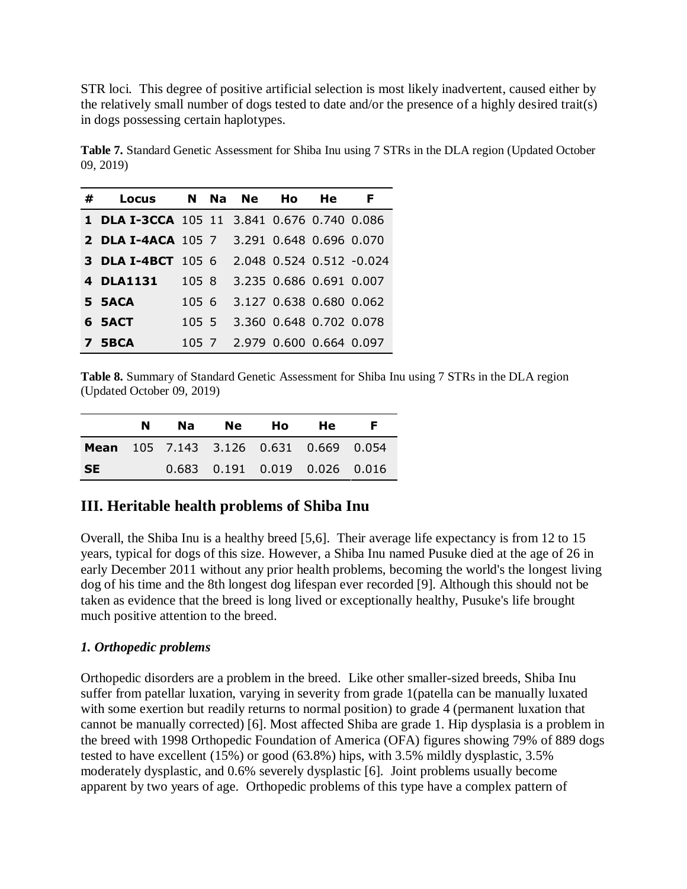STR loci. This degree of positive artificial selection is most likely inadvertent, caused either by the relatively small number of dogs tested to date and/or the presence of a highly desired trait(s) in dogs possessing certain haplotypes.

**Table 7.** Standard Genetic Assessment for Shiba Inu using 7 STRs in the DLA region (Updated October 09, 2019)

| # | Locus                                              |        | N Na Ne | Ho.                           | He | F                        |
|---|----------------------------------------------------|--------|---------|-------------------------------|----|--------------------------|
|   | <b>1 DLA I-3CCA</b> 105 11 3.841 0.676 0.740 0.086 |        |         |                               |    |                          |
|   | <b>2 DLA I-4ACA</b> 105 7 3.291 0.648 0.696 0.070  |        |         |                               |    |                          |
|   | <b>3 DLA I-4BCT</b> 105 6                          |        |         |                               |    | 2.048 0.524 0.512 -0.024 |
|   | 4 DLA1131                                          | 1058   |         | 3.235 0.686 0.691 0.007       |    |                          |
|   | 5 5ACA                                             | 1056   |         | 3.127 0.638 0.680 0.062       |    |                          |
|   | 6 SACT                                             | 105, 5 |         | 3.360 0.648 0.702 0.078       |    |                          |
|   | 7 5BCA                                             |        |         | 105 7 2.979 0.600 0.664 0.097 |    |                          |

**Table 8.** Summary of Standard Genetic Assessment for Shiba Inu using 7 STRs in the DLA region (Updated October 09, 2019)

|           | N | Na Ne                                         | - Ho | He. | F. |
|-----------|---|-----------------------------------------------|------|-----|----|
|           |   | <b>Mean</b> 105 7.143 3.126 0.631 0.669 0.054 |      |     |    |
| <b>SE</b> |   | 0.683 0.191 0.019 0.026 0.016                 |      |     |    |

# **III. Heritable health problems of Shiba Inu**

Overall, the Shiba Inu is a healthy breed [5,6]. Their average life expectancy is from 12 to 15 years, typical for dogs of this size. However, a Shiba Inu named Pusuke died at the age of 26 in early December 2011 without any prior health problems, becoming the world's the longest living dog of his time and the 8th longest dog lifespan ever recorded [9]. Although this should not be taken as evidence that the breed is long lived or exceptionally healthy, Pusuke's life brought much positive attention to the breed.

## *1. Orthopedic problems*

Orthopedic disorders are a problem in the breed. Like other smaller-sized breeds, Shiba Inu suffer from patellar luxation, varying in severity from grade 1(patella can be manually luxated with some exertion but readily returns to normal position) to grade 4 (permanent luxation that cannot be manually corrected) [6]. Most affected Shiba are grade 1. Hip dysplasia is a problem in the breed with 1998 Orthopedic Foundation of America (OFA) figures showing 79% of 889 dogs tested to have excellent (15%) or good (63.8%) hips, with 3.5% mildly dysplastic, 3.5% moderately dysplastic, and 0.6% severely dysplastic [6]. Joint problems usually become apparent by two years of age. Orthopedic problems of this type have a complex pattern of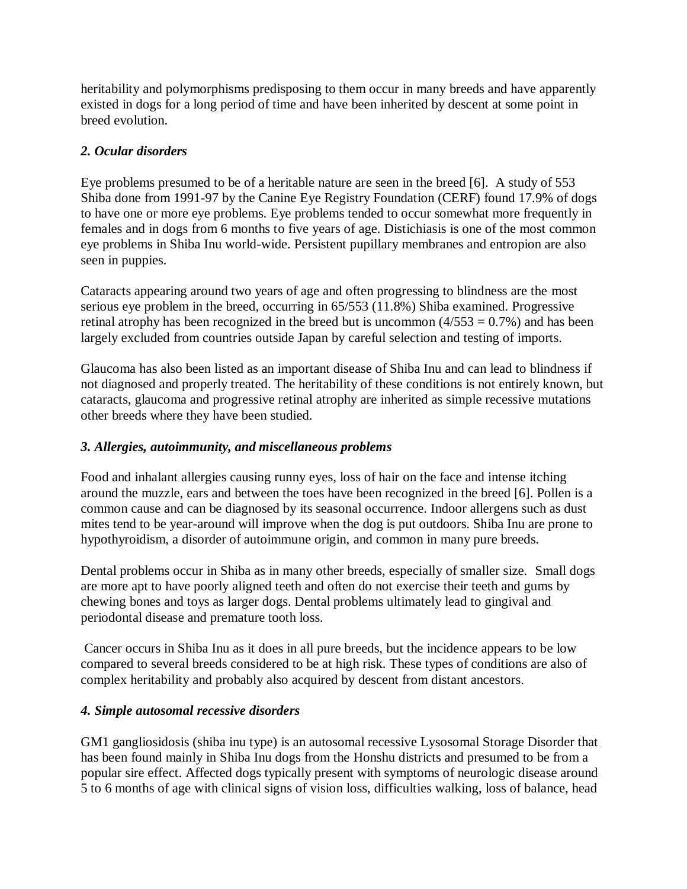heritability and polymorphisms predisposing to them occur in many breeds and have apparently existed in dogs for a long period of time and have been inherited by descent at some point in breed evolution.

# *2. Ocular disorders*

Eye problems presumed to be of a heritable nature are seen in the breed [6]. A study of 553 Shiba done from 1991-97 by the Canine Eye Registry Foundation (CERF) found 17.9% of dogs to have one or more eye problems. Eye problems tended to occur somewhat more frequently in females and in dogs from 6 months to five years of age. Distichiasis is one of the most common eye problems in Shiba Inu world-wide. Persistent pupillary membranes and entropion are also seen in puppies.

Cataracts appearing around two years of age and often progressing to blindness are the most serious eye problem in the breed, occurring in 65/553 (11.8%) Shiba examined. Progressive retinal atrophy has been recognized in the breed but is uncommon  $(4/553 = 0.7\%)$  and has been largely excluded from countries outside Japan by careful selection and testing of imports.

Glaucoma has also been listed as an important disease of Shiba Inu and can lead to blindness if not diagnosed and properly treated. The heritability of these conditions is not entirely known, but cataracts, glaucoma and progressive retinal atrophy are inherited as simple recessive mutations other breeds where they have been studied.

# *3. Allergies, autoimmunity, and miscellaneous problems*

Food and inhalant allergies causing runny eyes, loss of hair on the face and intense itching around the muzzle, ears and between the toes have been recognized in the breed [6]. Pollen is a common cause and can be diagnosed by its seasonal occurrence. Indoor allergens such as dust mites tend to be year-around will improve when the dog is put outdoors. Shiba Inu are prone to hypothyroidism, a disorder of autoimmune origin, and common in many pure breeds.

Dental problems occur in Shiba as in many other breeds, especially of smaller size. Small dogs are more apt to have poorly aligned teeth and often do not exercise their teeth and gums by chewing bones and toys as larger dogs. Dental problems ultimately lead to gingival and periodontal disease and premature tooth loss.

Cancer occurs in Shiba Inu as it does in all pure breeds, but the incidence appears to be low compared to several breeds considered to be at high risk. These types of conditions are also of complex heritability and probably also acquired by descent from distant ancestors.

## *4. Simple autosomal recessive disorders*

GM1 gangliosidosis (shiba inu type) is an autosomal recessive Lysosomal Storage Disorder that has been found mainly in Shiba Inu dogs from the Honshu districts and presumed to be from a popular sire effect. Affected dogs typically present with symptoms of neurologic disease around 5 to 6 months of age with clinical signs of vision loss, difficulties walking, loss of balance, head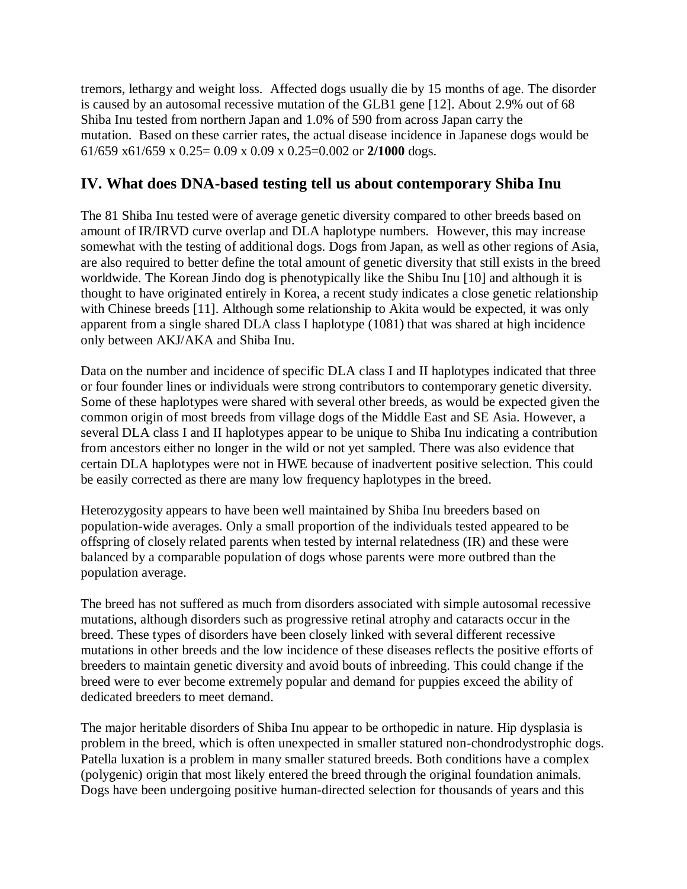tremors, lethargy and weight loss. Affected dogs usually die by 15 months of age. The disorder is caused by an autosomal recessive mutation of the GLB1 gene [12]. About 2.9% out of 68 Shiba Inu tested from northern Japan and 1.0% of 590 from across Japan carry the mutation. Based on these carrier rates, the actual disease incidence in Japanese dogs would be 61/659 x61/659 x 0.25= 0.09 x 0.09 x 0.25=0.002 or **2/1000** dogs.

# **IV. What does DNA-based testing tell us about contemporary Shiba Inu**

The 81 Shiba Inu tested were of average genetic diversity compared to other breeds based on amount of IR/IRVD curve overlap and DLA haplotype numbers. However, this may increase somewhat with the testing of additional dogs. Dogs from Japan, as well as other regions of Asia, are also required to better define the total amount of genetic diversity that still exists in the breed worldwide. The Korean Jindo dog is phenotypically like the Shibu Inu [10] and although it is thought to have originated entirely in Korea, a recent study indicates a close genetic relationship with Chinese breeds [11]. Although some relationship to Akita would be expected, it was only apparent from a single shared DLA class I haplotype (1081) that was shared at high incidence only between AKJ/AKA and Shiba Inu.

Data on the number and incidence of specific DLA class I and II haplotypes indicated that three or four founder lines or individuals were strong contributors to contemporary genetic diversity. Some of these haplotypes were shared with several other breeds, as would be expected given the common origin of most breeds from village dogs of the Middle East and SE Asia. However, a several DLA class I and II haplotypes appear to be unique to Shiba Inu indicating a contribution from ancestors either no longer in the wild or not yet sampled. There was also evidence that certain DLA haplotypes were not in HWE because of inadvertent positive selection. This could be easily corrected as there are many low frequency haplotypes in the breed.

Heterozygosity appears to have been well maintained by Shiba Inu breeders based on population-wide averages. Only a small proportion of the individuals tested appeared to be offspring of closely related parents when tested by internal relatedness (IR) and these were balanced by a comparable population of dogs whose parents were more outbred than the population average.

The breed has not suffered as much from disorders associated with simple autosomal recessive mutations, although disorders such as progressive retinal atrophy and cataracts occur in the breed. These types of disorders have been closely linked with several different recessive mutations in other breeds and the low incidence of these diseases reflects the positive efforts of breeders to maintain genetic diversity and avoid bouts of inbreeding. This could change if the breed were to ever become extremely popular and demand for puppies exceed the ability of dedicated breeders to meet demand.

The major heritable disorders of Shiba Inu appear to be orthopedic in nature. Hip dysplasia is problem in the breed, which is often unexpected in smaller statured non-chondrodystrophic dogs. Patella luxation is a problem in many smaller statured breeds. Both conditions have a complex (polygenic) origin that most likely entered the breed through the original foundation animals. Dogs have been undergoing positive human-directed selection for thousands of years and this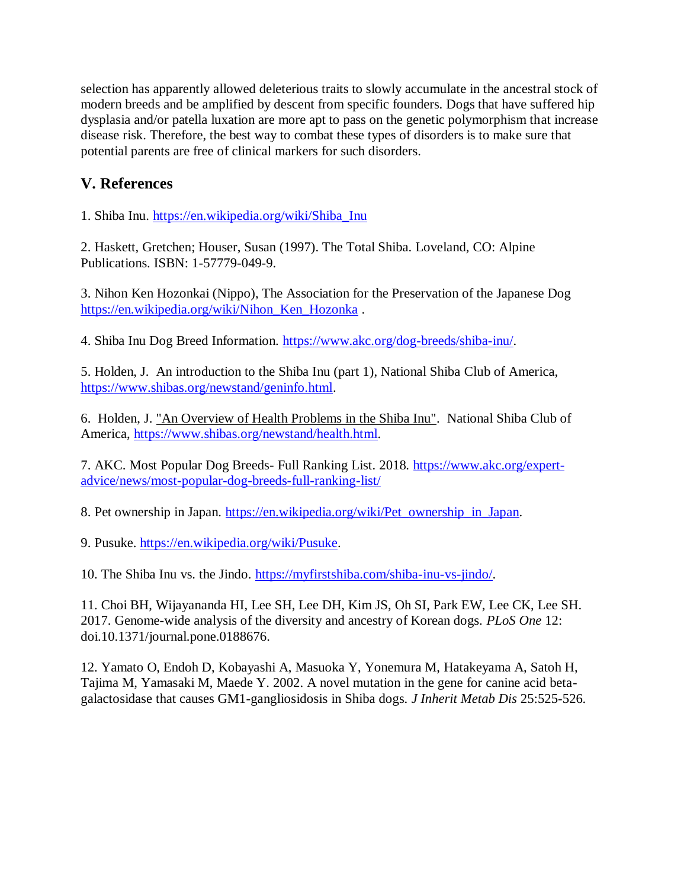selection has apparently allowed deleterious traits to slowly accumulate in the ancestral stock of modern breeds and be amplified by descent from specific founders. Dogs that have suffered hip dysplasia and/or patella luxation are more apt to pass on the genetic polymorphism that increase disease risk. Therefore, the best way to combat these types of disorders is to make sure that potential parents are free of clinical markers for such disorders.

# **V. References**

1. Shiba Inu. [https://en.wikipedia.org/wiki/Shiba\\_Inu](https://en.wikipedia.org/wiki/Shiba_Inu)

2. Haskett, Gretchen; Houser, Susan (1997). The Total Shiba. Loveland, CO: Alpine Publications. ISBN: 1-57779-049-9.

3. Nihon Ken Hozonkai (Nippo), The Association for the Preservation of the Japanese Dog [https://en.wikipedia.org/wiki/Nihon\\_Ken\\_Hozonka](https://en.wikipedia.org/wiki/Nihon_Ken_Hozonka) .

4. Shiba Inu Dog Breed Information. [https://www.akc.org/dog-breeds/shiba-inu/.](https://www.akc.org/dog-breeds/shiba-inu/)

5. Holden, J. An introduction to the Shiba Inu (part 1), National Shiba Club of America, [https://www.shibas.org/newstand/geninfo.html.](https://www.shibas.org/newstand/geninfo.html)

6. Holden, J. ["An Overview of Health Problems in the Shiba Inu".](http://www.shibas.org/newstand/health.html) National Shiba Club of America, [https://www.shibas.org/newstand/health.html.](https://www.shibas.org/newstand/health.html)

7. AKC. Most Popular Dog Breeds- Full Ranking List. 2018. [https://www.akc.org/expert](https://www.akc.org/expert-advice/news/most-popular-dog-breeds-full-ranking-list/)[advice/news/most-popular-dog-breeds-full-ranking-list/](https://www.akc.org/expert-advice/news/most-popular-dog-breeds-full-ranking-list/)

8. Pet ownership in Japan. https://en.wikipedia.org/wiki/Pet ownership in Japan.

9. Pusuke. [https://en.wikipedia.org/wiki/Pusuke.](https://en.wikipedia.org/wiki/Pusuke)

10. The Shiba Inu vs. the Jindo. [https://myfirstshiba.com/shiba-inu-vs-jindo/.](https://myfirstshiba.com/shiba-inu-vs-jindo/)

11. Choi BH, Wijayananda HI, Lee SH, Lee DH, Kim JS, Oh SI, Park EW, Lee CK, Lee SH. 2017. Genome-wide analysis of the diversity and ancestry of Korean dogs. *PLoS One* 12: doi.10.1371/journal.pone.0188676.

12. Yamato O, Endoh D, Kobayashi A, Masuoka Y, Yonemura M, Hatakeyama A, Satoh H, Tajima M, Yamasaki M, Maede Y. 2002. A novel mutation in the gene for canine acid betagalactosidase that causes GM1-gangliosidosis in Shiba dogs. *J Inherit Metab Dis* 25:525-526.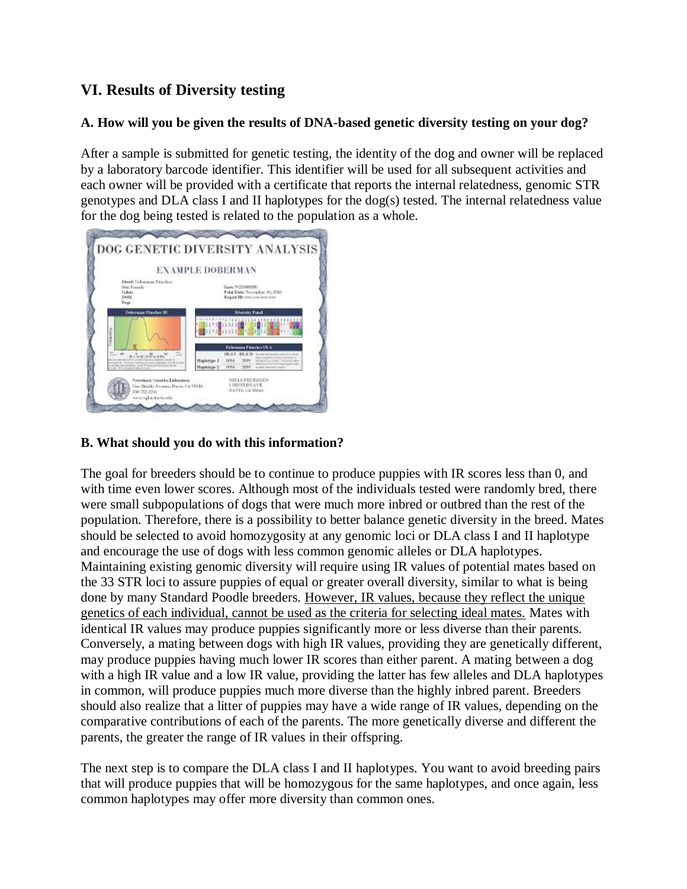# **VI. Results of Diversity testing**

# **A. How will you be given the results of DNA-based genetic diversity testing on your dog?**

After a sample is submitted for genetic testing, the identity of the dog and owner will be replaced by a laboratory barcode identifier. This identifier will be used for all subsequent activities and each owner will be provided with a certificate that reports the internal relatedness, genomic STR genotypes and DLA class I and II haplotypes for the dog(s) tested. The internal relatedness value for the dog being tested is related to the population as a whole.



# **B. What should you do with this information?**

The goal for breeders should be to continue to produce puppies with IR scores less than 0, and with time even lower scores. Although most of the individuals tested were randomly bred, there were small subpopulations of dogs that were much more inbred or outbred than the rest of the population. Therefore, there is a possibility to better balance genetic diversity in the breed. Mates should be selected to avoid homozygosity at any genomic loci or DLA class I and II haplotype and encourage the use of dogs with less common genomic alleles or DLA haplotypes. Maintaining existing genomic diversity will require using IR values of potential mates based on the 33 STR loci to assure puppies of equal or greater overall diversity, similar to what is being done by many Standard Poodle breeders. However, IR values, because they reflect the unique genetics of each individual, cannot be used as the criteria for selecting ideal mates. Mates with identical IR values may produce puppies significantly more or less diverse than their parents. Conversely, a mating between dogs with high IR values, providing they are genetically different, may produce puppies having much lower IR scores than either parent. A mating between a dog with a high IR value and a low IR value, providing the latter has few alleles and DLA haplotypes in common, will produce puppies much more diverse than the highly inbred parent. Breeders should also realize that a litter of puppies may have a wide range of IR values, depending on the comparative contributions of each of the parents. The more genetically diverse and different the parents, the greater the range of IR values in their offspring.

The next step is to compare the DLA class I and II haplotypes. You want to avoid breeding pairs that will produce puppies that will be homozygous for the same haplotypes, and once again, less common haplotypes may offer more diversity than common ones.